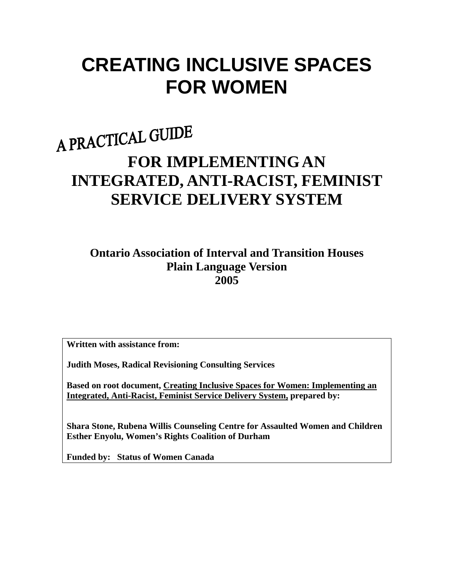# **CREATING INCLUSIVE SPACES FOR WOMEN**

# A PRACTICAL GUIDE **FOR IMPLEMENTING AN INTEGRATED, ANTI-RACIST, FEMINIST SERVICE DELIVERY SYSTEM**

**Ontario Association of Interval and Transition Houses Plain Language Version 2005** 

**Written with assistance from:** 

**Judith Moses, Radical Revisioning Consulting Services** 

**Based on root document, Creating Inclusive Spaces for Women: Implementing an Integrated, Anti-Racist, Feminist Service Delivery System, prepared by:** 

**Shara Stone, Rubena Willis Counseling Centre for Assaulted Women and Children Esther Enyolu, Women's Rights Coalition of Durham** 

**Funded by: Status of Women Canada**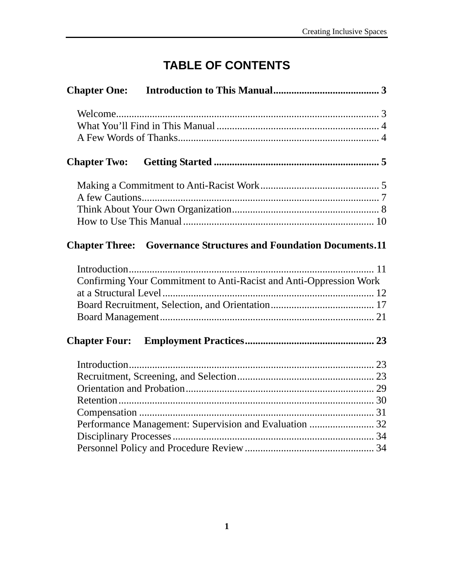# **TABLE OF CONTENTS**

| <b>Chapter Two:</b>  |                                                                         |  |
|----------------------|-------------------------------------------------------------------------|--|
|                      |                                                                         |  |
|                      |                                                                         |  |
|                      |                                                                         |  |
|                      |                                                                         |  |
|                      | <b>Chapter Three:</b> Governance Structures and Foundation Documents.11 |  |
|                      |                                                                         |  |
|                      | Confirming Your Commitment to Anti-Racist and Anti-Oppression Work      |  |
|                      |                                                                         |  |
|                      |                                                                         |  |
|                      |                                                                         |  |
| <b>Chapter Four:</b> |                                                                         |  |
|                      |                                                                         |  |
|                      |                                                                         |  |
|                      |                                                                         |  |
|                      |                                                                         |  |
|                      |                                                                         |  |
|                      | Performance Management: Supervision and Evaluation  32                  |  |
|                      |                                                                         |  |
|                      |                                                                         |  |
|                      |                                                                         |  |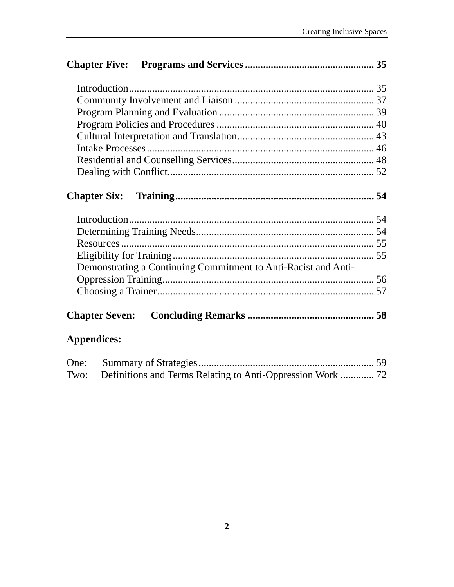|                                                  | Demonstrating a Continuing Commitment to Anti-Racist and Anti- |  |
|--------------------------------------------------|----------------------------------------------------------------|--|
|                                                  |                                                                |  |
|                                                  |                                                                |  |
|                                                  |                                                                |  |
| <b>Appendices:</b>                               |                                                                |  |
| $\sim$ $\sim$ $\sim$ $\sim$ $\sim$ $\sim$ $\sim$ |                                                                |  |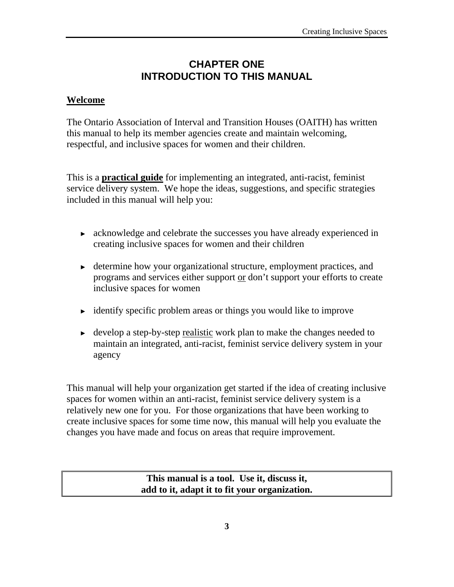# **CHAPTER ONE INTRODUCTION TO THIS MANUAL**

#### **Welcome**

The Ontario Association of Interval and Transition Houses (OAITH) has written this manual to help its member agencies create and maintain welcoming, respectful, and inclusive spaces for women and their children.

This is a **practical guide** for implementing an integrated, anti-racist, feminist service delivery system. We hope the ideas, suggestions, and specific strategies included in this manual will help you:

- ► acknowledge and celebrate the successes you have already experienced in creating inclusive spaces for women and their children
- ► determine how your organizational structure, employment practices, and programs and services either support or don't support your efforts to create inclusive spaces for women
- $\rightarrow$  identify specific problem areas or things you would like to improve
- ► develop a step-by-step realistic work plan to make the changes needed to maintain an integrated, anti-racist, feminist service delivery system in your agency

This manual will help your organization get started if the idea of creating inclusive spaces for women within an anti-racist, feminist service delivery system is a relatively new one for you. For those organizations that have been working to create inclusive spaces for some time now, this manual will help you evaluate the changes you have made and focus on areas that require improvement.

> **This manual is a tool. Use it, discuss it, add to it, adapt it to fit your organization.**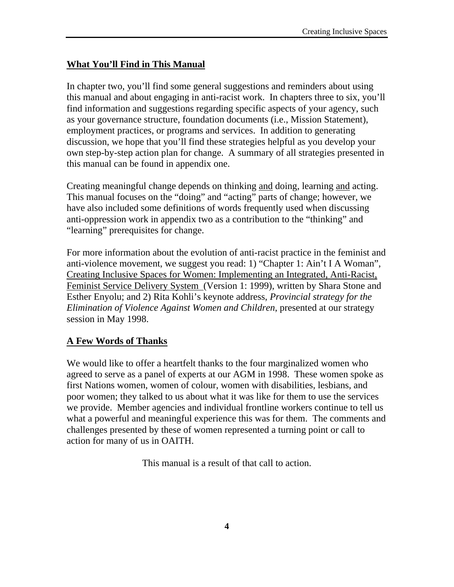## **What You'll Find in This Manual**

In chapter two, you'll find some general suggestions and reminders about using this manual and about engaging in anti-racist work. In chapters three to six, you'll find information and suggestions regarding specific aspects of your agency, such as your governance structure, foundation documents (i.e., Mission Statement), employment practices, or programs and services. In addition to generating discussion, we hope that you'll find these strategies helpful as you develop your own step-by-step action plan for change. A summary of all strategies presented in this manual can be found in appendix one.

Creating meaningful change depends on thinking and doing, learning and acting. This manual focuses on the "doing" and "acting" parts of change; however, we have also included some definitions of words frequently used when discussing anti-oppression work in appendix two as a contribution to the "thinking" and "learning" prerequisites for change.

For more information about the evolution of anti-racist practice in the feminist and anti-violence movement, we suggest you read: 1) "Chapter 1: Ain't I A Woman", Creating Inclusive Spaces for Women: Implementing an Integrated, Anti-Racist, Feminist Service Delivery System (Version 1: 1999), written by Shara Stone and Esther Enyolu; and 2) Rita Kohli's keynote address, *Provincial strategy for the Elimination of Violence Against Women and Children*, presented at our strategy session in May 1998.

## **A Few Words of Thanks**

We would like to offer a heartfelt thanks to the four marginalized women who agreed to serve as a panel of experts at our AGM in 1998. These women spoke as first Nations women, women of colour, women with disabilities, lesbians, and poor women; they talked to us about what it was like for them to use the services we provide. Member agencies and individual frontline workers continue to tell us what a powerful and meaningful experience this was for them. The comments and challenges presented by these of women represented a turning point or call to action for many of us in OAITH.

This manual is a result of that call to action.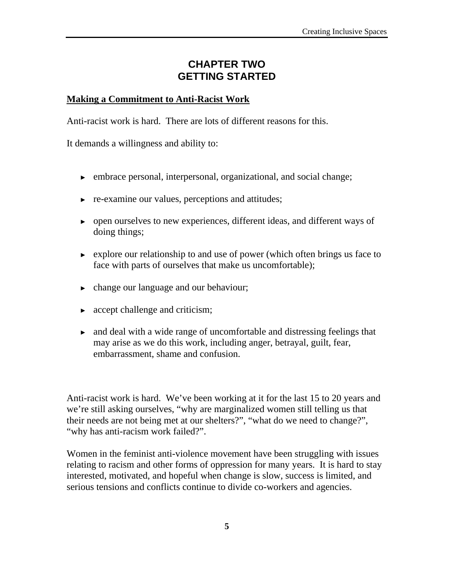# **CHAPTER TWO GETTING STARTED**

#### **Making a Commitment to Anti-Racist Work**

Anti-racist work is hard. There are lots of different reasons for this.

It demands a willingness and ability to:

- ► embrace personal, interpersonal, organizational, and social change;
- ► re-examine our values, perceptions and attitudes;
- ► open ourselves to new experiences, different ideas, and different ways of doing things;
- ► explore our relationship to and use of power (which often brings us face to face with parts of ourselves that make us uncomfortable);
- ► change our language and our behaviour;
- $\triangleright$  accept challenge and criticism;
- ► and deal with a wide range of uncomfortable and distressing feelings that may arise as we do this work, including anger, betrayal, guilt, fear, embarrassment, shame and confusion.

Anti-racist work is hard. We've been working at it for the last 15 to 20 years and we're still asking ourselves, "why are marginalized women still telling us that their needs are not being met at our shelters?", "what do we need to change?", "why has anti-racism work failed?".

Women in the feminist anti-violence movement have been struggling with issues relating to racism and other forms of oppression for many years. It is hard to stay interested, motivated, and hopeful when change is slow, success is limited, and serious tensions and conflicts continue to divide co-workers and agencies.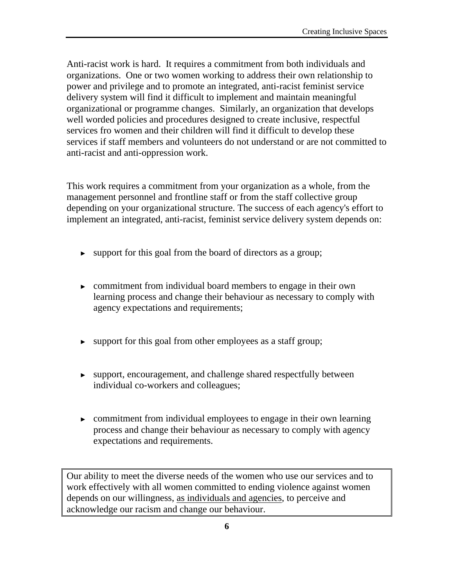Anti-racist work is hard. It requires a commitment from both individuals and organizations. One or two women working to address their own relationship to power and privilege and to promote an integrated, anti-racist feminist service delivery system will find it difficult to implement and maintain meaningful organizational or programme changes. Similarly, an organization that develops well worded policies and procedures designed to create inclusive, respectful services fro women and their children will find it difficult to develop these services if staff members and volunteers do not understand or are not committed to anti-racist and anti-oppression work.

This work requires a commitment from your organization as a whole, from the management personnel and frontline staff or from the staff collective group depending on your organizational structure. The success of each agency's effort to implement an integrated, anti-racist, feminist service delivery system depends on:

- ► support for this goal from the board of directors as a group;
- ► commitment from individual board members to engage in their own learning process and change their behaviour as necessary to comply with agency expectations and requirements;
- ► support for this goal from other employees as a staff group;
- ► support, encouragement, and challenge shared respectfully between individual co-workers and colleagues;
- ► commitment from individual employees to engage in their own learning process and change their behaviour as necessary to comply with agency expectations and requirements.

Our ability to meet the diverse needs of the women who use our services and to work effectively with all women committed to ending violence against women depends on our willingness, as individuals and agencies, to perceive and acknowledge our racism and change our behaviour.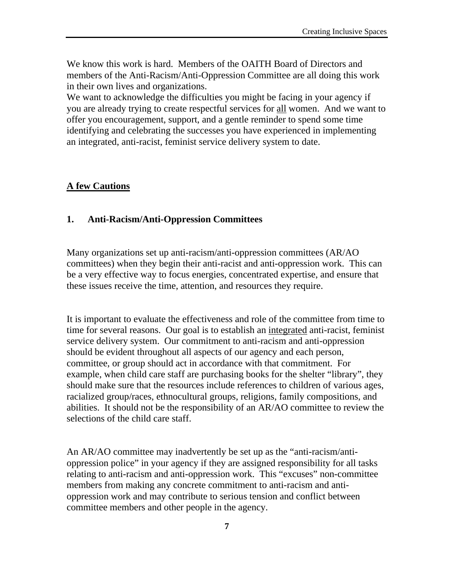We know this work is hard. Members of the OAITH Board of Directors and members of the Anti-Racism/Anti-Oppression Committee are all doing this work in their own lives and organizations.

We want to acknowledge the difficulties you might be facing in your agency if you are already trying to create respectful services for all women. And we want to offer you encouragement, support, and a gentle reminder to spend some time identifying and celebrating the successes you have experienced in implementing an integrated, anti-racist, feminist service delivery system to date.

#### **A few Cautions**

#### **1. Anti-Racism/Anti-Oppression Committees**

Many organizations set up anti-racism/anti-oppression committees (AR/AO committees) when they begin their anti-racist and anti-oppression work. This can be a very effective way to focus energies, concentrated expertise, and ensure that these issues receive the time, attention, and resources they require.

It is important to evaluate the effectiveness and role of the committee from time to time for several reasons. Our goal is to establish an integrated anti-racist, feminist service delivery system. Our commitment to anti-racism and anti-oppression should be evident throughout all aspects of our agency and each person, committee, or group should act in accordance with that commitment. For example, when child care staff are purchasing books for the shelter "library", they should make sure that the resources include references to children of various ages, racialized group/races, ethnocultural groups, religions, family compositions, and abilities. It should not be the responsibility of an AR/AO committee to review the selections of the child care staff.

An AR/AO committee may inadvertently be set up as the "anti-racism/antioppression police" in your agency if they are assigned responsibility for all tasks relating to anti-racism and anti-oppression work. This "excuses" non-committee members from making any concrete commitment to anti-racism and antioppression work and may contribute to serious tension and conflict between committee members and other people in the agency.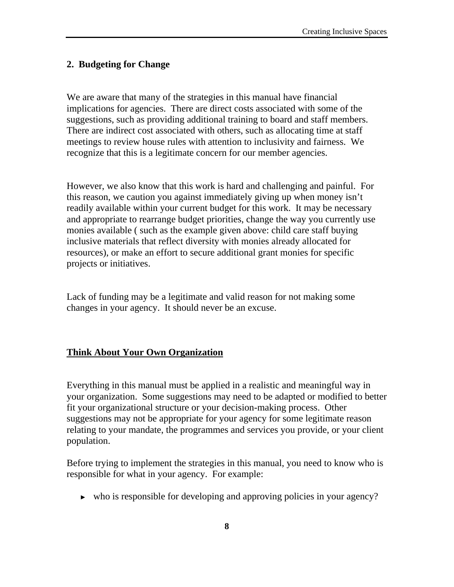#### **2. Budgeting for Change**

We are aware that many of the strategies in this manual have financial implications for agencies. There are direct costs associated with some of the suggestions, such as providing additional training to board and staff members. There are indirect cost associated with others, such as allocating time at staff meetings to review house rules with attention to inclusivity and fairness. We recognize that this is a legitimate concern for our member agencies.

However, we also know that this work is hard and challenging and painful. For this reason, we caution you against immediately giving up when money isn't readily available within your current budget for this work. It may be necessary and appropriate to rearrange budget priorities, change the way you currently use monies available ( such as the example given above: child care staff buying inclusive materials that reflect diversity with monies already allocated for resources), or make an effort to secure additional grant monies for specific projects or initiatives.

Lack of funding may be a legitimate and valid reason for not making some changes in your agency. It should never be an excuse.

#### **Think About Your Own Organization**

Everything in this manual must be applied in a realistic and meaningful way in your organization. Some suggestions may need to be adapted or modified to better fit your organizational structure or your decision-making process. Other suggestions may not be appropriate for your agency for some legitimate reason relating to your mandate, the programmes and services you provide, or your client population.

Before trying to implement the strategies in this manual, you need to know who is responsible for what in your agency. For example:

► who is responsible for developing and approving policies in your agency?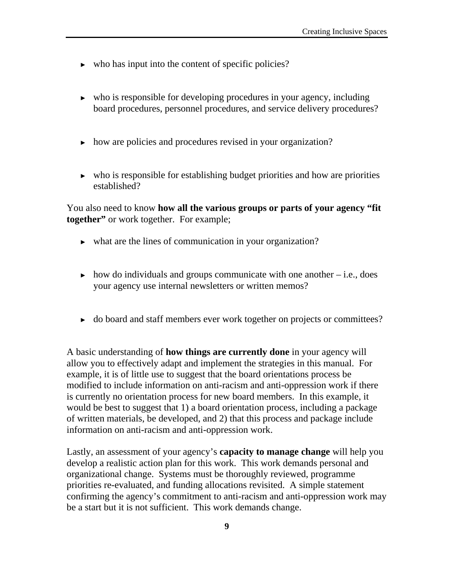- $\triangleright$  who has input into the content of specific policies?
- ► who is responsible for developing procedures in your agency, including board procedures, personnel procedures, and service delivery procedures?
- ► how are policies and procedures revised in your organization?
- ► who is responsible for establishing budget priorities and how are priorities established?

You also need to know **how all the various groups or parts of your agency "fit together"** or work together. For example;

- ► what are the lines of communication in your organization?
- $\triangleright$  how do individuals and groups communicate with one another i.e., does your agency use internal newsletters or written memos?
- ► do board and staff members ever work together on projects or committees?

A basic understanding of **how things are currently done** in your agency will allow you to effectively adapt and implement the strategies in this manual. For example, it is of little use to suggest that the board orientations process be modified to include information on anti-racism and anti-oppression work if there is currently no orientation process for new board members. In this example, it would be best to suggest that 1) a board orientation process, including a package of written materials, be developed, and 2) that this process and package include information on anti-racism and anti-oppression work.

Lastly, an assessment of your agency's **capacity to manage change** will help you develop a realistic action plan for this work. This work demands personal and organizational change. Systems must be thoroughly reviewed, programme priorities re-evaluated, and funding allocations revisited. A simple statement confirming the agency's commitment to anti-racism and anti-oppression work may be a start but it is not sufficient. This work demands change.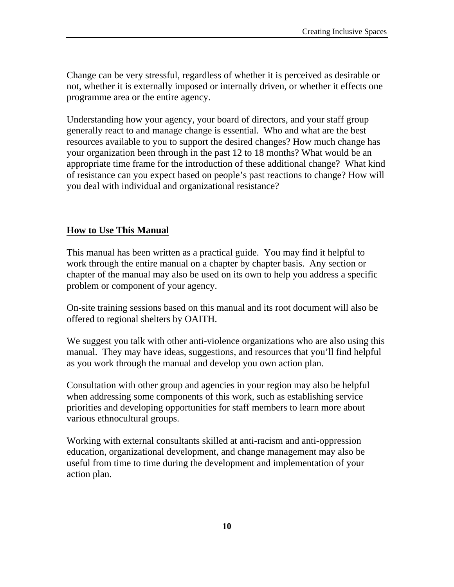Change can be very stressful, regardless of whether it is perceived as desirable or not, whether it is externally imposed or internally driven, or whether it effects one programme area or the entire agency.

Understanding how your agency, your board of directors, and your staff group generally react to and manage change is essential. Who and what are the best resources available to you to support the desired changes? How much change has your organization been through in the past 12 to 18 months? What would be an appropriate time frame for the introduction of these additional change? What kind of resistance can you expect based on people's past reactions to change? How will you deal with individual and organizational resistance?

#### **How to Use This Manual**

This manual has been written as a practical guide. You may find it helpful to work through the entire manual on a chapter by chapter basis. Any section or chapter of the manual may also be used on its own to help you address a specific problem or component of your agency.

On-site training sessions based on this manual and its root document will also be offered to regional shelters by OAITH.

We suggest you talk with other anti-violence organizations who are also using this manual. They may have ideas, suggestions, and resources that you'll find helpful as you work through the manual and develop you own action plan.

Consultation with other group and agencies in your region may also be helpful when addressing some components of this work, such as establishing service priorities and developing opportunities for staff members to learn more about various ethnocultural groups.

Working with external consultants skilled at anti-racism and anti-oppression education, organizational development, and change management may also be useful from time to time during the development and implementation of your action plan.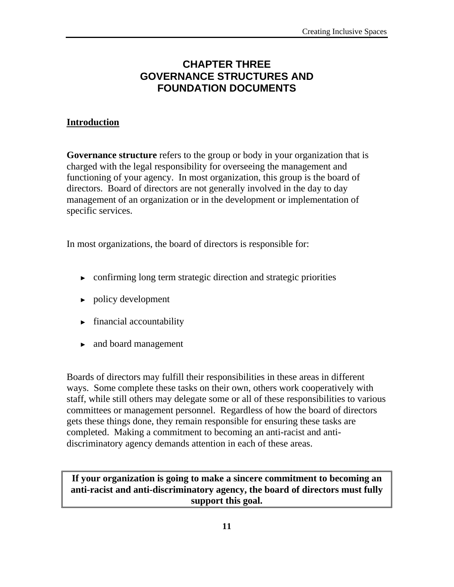# **CHAPTER THREE GOVERNANCE STRUCTURES AND FOUNDATION DOCUMENTS**

### **Introduction**

**Governance structure** refers to the group or body in your organization that is charged with the legal responsibility for overseeing the management and functioning of your agency. In most organization, this group is the board of directors. Board of directors are not generally involved in the day to day management of an organization or in the development or implementation of specific services.

In most organizations, the board of directors is responsible for:

- $\triangleright$  confirming long term strategic direction and strategic priorities
- ► policy development
- ► financial accountability
- ► and board management

Boards of directors may fulfill their responsibilities in these areas in different ways. Some complete these tasks on their own, others work cooperatively with staff, while still others may delegate some or all of these responsibilities to various committees or management personnel. Regardless of how the board of directors gets these things done, they remain responsible for ensuring these tasks are completed. Making a commitment to becoming an anti-racist and antidiscriminatory agency demands attention in each of these areas.

**If your organization is going to make a sincere commitment to becoming an anti-racist and anti-discriminatory agency, the board of directors must fully support this goal.**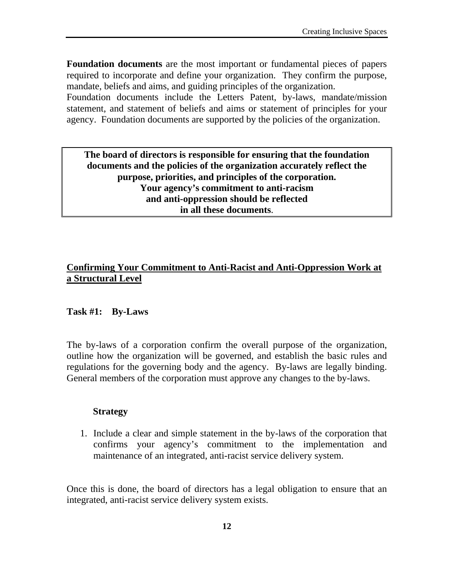**Foundation documents** are the most important or fundamental pieces of papers required to incorporate and define your organization. They confirm the purpose, mandate, beliefs and aims, and guiding principles of the organization.

Foundation documents include the Letters Patent, by-laws, mandate/mission statement, and statement of beliefs and aims or statement of principles for your agency. Foundation documents are supported by the policies of the organization.

**The board of directors is responsible for ensuring that the foundation documents and the policies of the organization accurately reflect the purpose, priorities, and principles of the corporation. Your agency's commitment to anti-racism and anti-oppression should be reflected in all these documents**.

#### **Confirming Your Commitment to Anti-Racist and Anti-Oppression Work at a Structural Level**

#### **Task #1: By-Laws**

The by-laws of a corporation confirm the overall purpose of the organization, outline how the organization will be governed, and establish the basic rules and regulations for the governing body and the agency. By-laws are legally binding. General members of the corporation must approve any changes to the by-laws.

#### **Strategy**

1. Include a clear and simple statement in the by-laws of the corporation that confirms your agency's commitment to the implementation and maintenance of an integrated, anti-racist service delivery system.

Once this is done, the board of directors has a legal obligation to ensure that an integrated, anti-racist service delivery system exists.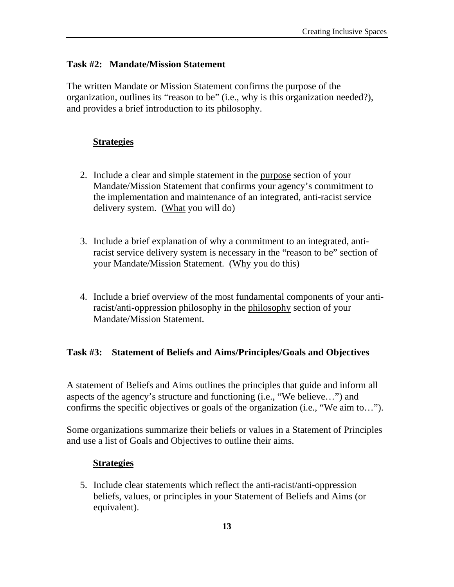#### **Task #2: Mandate/Mission Statement**

The written Mandate or Mission Statement confirms the purpose of the organization, outlines its "reason to be" (i.e., why is this organization needed?), and provides a brief introduction to its philosophy.

#### **Strategies**

- 2. Include a clear and simple statement in the purpose section of your Mandate/Mission Statement that confirms your agency's commitment to the implementation and maintenance of an integrated, anti-racist service delivery system. (What you will do)
- 3. Include a brief explanation of why a commitment to an integrated, antiracist service delivery system is necessary in the "reason to be" section of your Mandate/Mission Statement. (Why you do this)
- 4. Include a brief overview of the most fundamental components of your antiracist/anti-oppression philosophy in the philosophy section of your Mandate/Mission Statement.

#### **Task #3: Statement of Beliefs and Aims/Principles/Goals and Objectives**

A statement of Beliefs and Aims outlines the principles that guide and inform all aspects of the agency's structure and functioning (i.e., "We believe…") and confirms the specific objectives or goals of the organization (i.e., "We aim to…").

Some organizations summarize their beliefs or values in a Statement of Principles and use a list of Goals and Objectives to outline their aims.

#### **Strategies**

5. Include clear statements which reflect the anti-racist/anti-oppression beliefs, values, or principles in your Statement of Beliefs and Aims (or equivalent).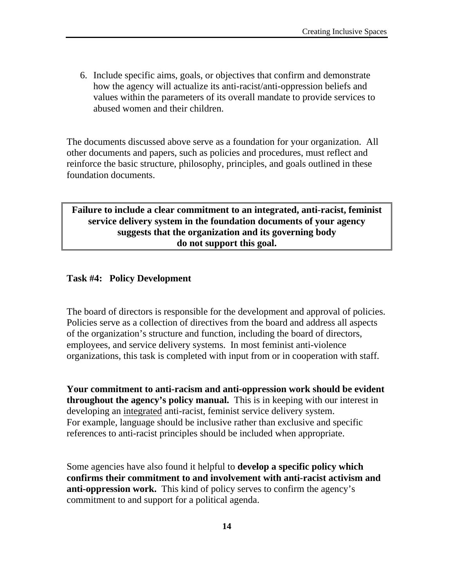6. Include specific aims, goals, or objectives that confirm and demonstrate how the agency will actualize its anti-racist/anti-oppression beliefs and values within the parameters of its overall mandate to provide services to abused women and their children.

The documents discussed above serve as a foundation for your organization. All other documents and papers, such as policies and procedures, must reflect and reinforce the basic structure, philosophy, principles, and goals outlined in these foundation documents.

#### **Failure to include a clear commitment to an integrated, anti-racist, feminist service delivery system in the foundation documents of your agency suggests that the organization and its governing body do not support this goal.**

#### **Task #4: Policy Development**

The board of directors is responsible for the development and approval of policies. Policies serve as a collection of directives from the board and address all aspects of the organization's structure and function, including the board of directors, employees, and service delivery systems. In most feminist anti-violence organizations, this task is completed with input from or in cooperation with staff.

**Your commitment to anti-racism and anti-oppression work should be evident throughout the agency's policy manual.** This is in keeping with our interest in developing an integrated anti-racist, feminist service delivery system. For example, language should be inclusive rather than exclusive and specific references to anti-racist principles should be included when appropriate.

Some agencies have also found it helpful to **develop a specific policy which confirms their commitment to and involvement with anti-racist activism and anti-oppression work.** This kind of policy serves to confirm the agency's commitment to and support for a political agenda.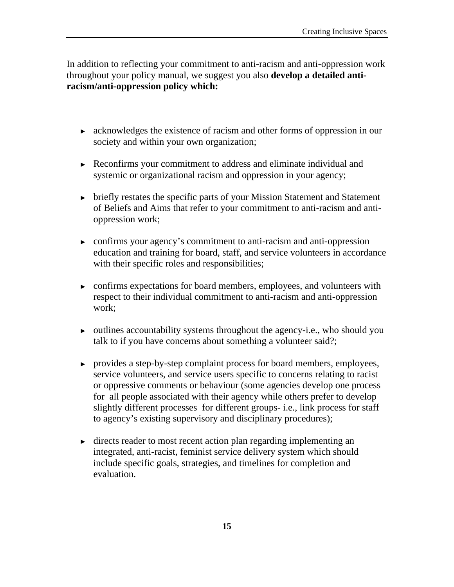In addition to reflecting your commitment to anti-racism and anti-oppression work throughout your policy manual, we suggest you also **develop a detailed antiracism/anti-oppression policy which:** 

- ► acknowledges the existence of racism and other forms of oppression in our society and within your own organization;
- ► Reconfirms your commitment to address and eliminate individual and systemic or organizational racism and oppression in your agency;
- ► briefly restates the specific parts of your Mission Statement and Statement of Beliefs and Aims that refer to your commitment to anti-racism and antioppression work;
- ► confirms your agency's commitment to anti-racism and anti-oppression education and training for board, staff, and service volunteers in accordance with their specific roles and responsibilities;
- ► confirms expectations for board members, employees, and volunteers with respect to their individual commitment to anti-racism and anti-oppression work;
- ► outlines accountability systems throughout the agency-i.e., who should you talk to if you have concerns about something a volunteer said?;
- ► provides a step-by-step complaint process for board members, employees, service volunteers, and service users specific to concerns relating to racist or oppressive comments or behaviour (some agencies develop one process for all people associated with their agency while others prefer to develop slightly different processes for different groups- i.e., link process for staff to agency's existing supervisory and disciplinary procedures);
- ► directs reader to most recent action plan regarding implementing an integrated, anti-racist, feminist service delivery system which should include specific goals, strategies, and timelines for completion and evaluation.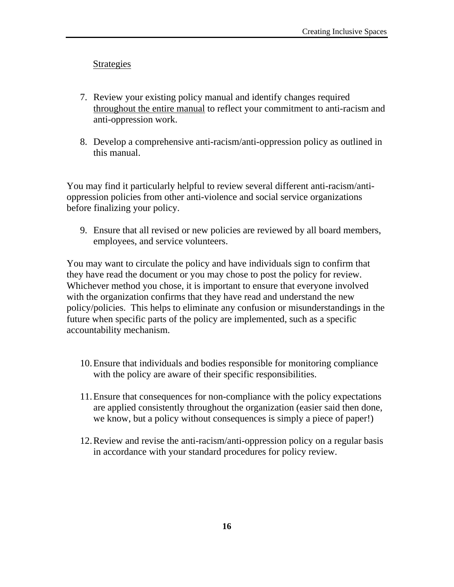#### Strategies

- 7. Review your existing policy manual and identify changes required throughout the entire manual to reflect your commitment to anti-racism and anti-oppression work.
- 8. Develop a comprehensive anti-racism/anti-oppression policy as outlined in this manual.

You may find it particularly helpful to review several different anti-racism/antioppression policies from other anti-violence and social service organizations before finalizing your policy.

9. Ensure that all revised or new policies are reviewed by all board members, employees, and service volunteers.

You may want to circulate the policy and have individuals sign to confirm that they have read the document or you may chose to post the policy for review. Whichever method you chose, it is important to ensure that everyone involved with the organization confirms that they have read and understand the new policy/policies. This helps to eliminate any confusion or misunderstandings in the future when specific parts of the policy are implemented, such as a specific accountability mechanism.

- 10.Ensure that individuals and bodies responsible for monitoring compliance with the policy are aware of their specific responsibilities.
- 11.Ensure that consequences for non-compliance with the policy expectations are applied consistently throughout the organization (easier said then done, we know, but a policy without consequences is simply a piece of paper!)
- 12.Review and revise the anti-racism/anti-oppression policy on a regular basis in accordance with your standard procedures for policy review.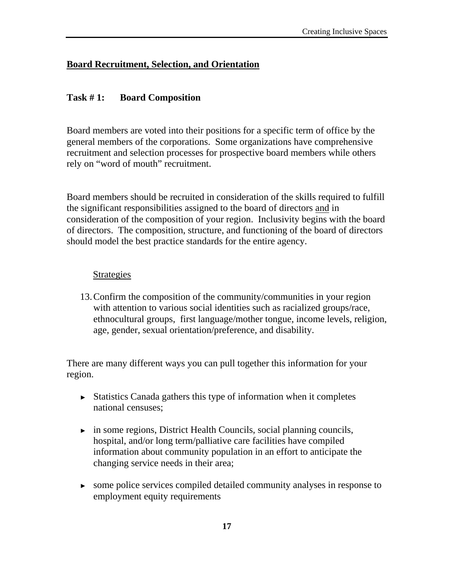#### **Board Recruitment, Selection, and Orientation**

#### **Task # 1: Board Composition**

Board members are voted into their positions for a specific term of office by the general members of the corporations. Some organizations have comprehensive recruitment and selection processes for prospective board members while others rely on "word of mouth" recruitment.

Board members should be recruited in consideration of the skills required to fulfill the significant responsibilities assigned to the board of directors and in consideration of the composition of your region. Inclusivity begins with the board of directors. The composition, structure, and functioning of the board of directors should model the best practice standards for the entire agency.

#### Strategies

13.Confirm the composition of the community/communities in your region with attention to various social identities such as racialized groups/race, ethnocultural groups, first language/mother tongue, income levels, religion, age, gender, sexual orientation/preference, and disability.

There are many different ways you can pull together this information for your region.

- ► Statistics Canada gathers this type of information when it completes national censuses;
- ► in some regions, District Health Councils, social planning councils, hospital, and/or long term/palliative care facilities have compiled information about community population in an effort to anticipate the changing service needs in their area;
- ► some police services compiled detailed community analyses in response to employment equity requirements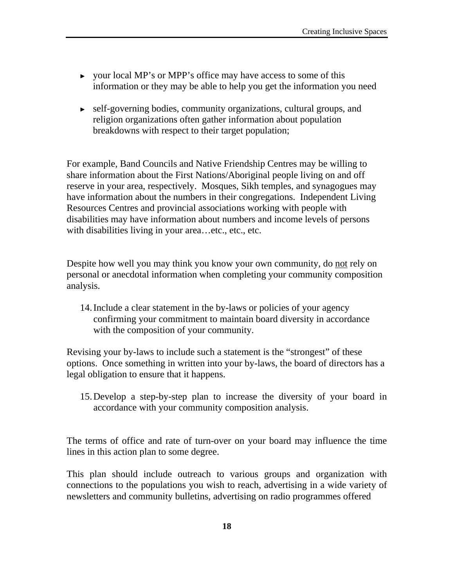- ► your local MP's or MPP's office may have access to some of this information or they may be able to help you get the information you need
- ► self-governing bodies, community organizations, cultural groups, and religion organizations often gather information about population breakdowns with respect to their target population;

For example, Band Councils and Native Friendship Centres may be willing to share information about the First Nations/Aboriginal people living on and off reserve in your area, respectively. Mosques, Sikh temples, and synagogues may have information about the numbers in their congregations. Independent Living Resources Centres and provincial associations working with people with disabilities may have information about numbers and income levels of persons with disabilities living in your area…etc., etc., etc.

Despite how well you may think you know your own community, do not rely on personal or anecdotal information when completing your community composition analysis.

14.Include a clear statement in the by-laws or policies of your agency confirming your commitment to maintain board diversity in accordance with the composition of your community.

Revising your by-laws to include such a statement is the "strongest" of these options. Once something in written into your by-laws, the board of directors has a legal obligation to ensure that it happens.

15.Develop a step-by-step plan to increase the diversity of your board in accordance with your community composition analysis.

The terms of office and rate of turn-over on your board may influence the time lines in this action plan to some degree.

This plan should include outreach to various groups and organization with connections to the populations you wish to reach, advertising in a wide variety of newsletters and community bulletins, advertising on radio programmes offered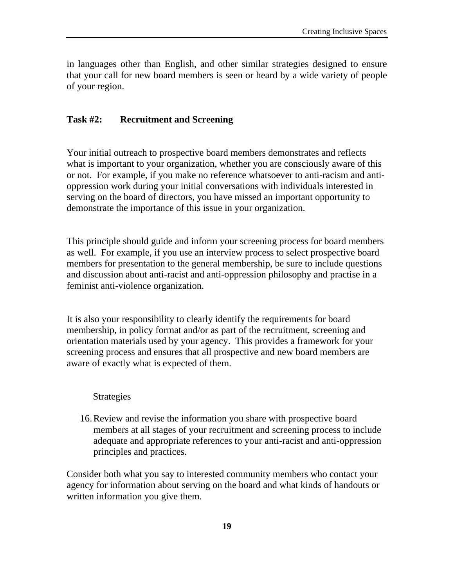in languages other than English, and other similar strategies designed to ensure that your call for new board members is seen or heard by a wide variety of people of your region.

#### **Task #2: Recruitment and Screening**

Your initial outreach to prospective board members demonstrates and reflects what is important to your organization, whether you are consciously aware of this or not. For example, if you make no reference whatsoever to anti-racism and antioppression work during your initial conversations with individuals interested in serving on the board of directors, you have missed an important opportunity to demonstrate the importance of this issue in your organization.

This principle should guide and inform your screening process for board members as well. For example, if you use an interview process to select prospective board members for presentation to the general membership, be sure to include questions and discussion about anti-racist and anti-oppression philosophy and practise in a feminist anti-violence organization.

It is also your responsibility to clearly identify the requirements for board membership, in policy format and/or as part of the recruitment, screening and orientation materials used by your agency. This provides a framework for your screening process and ensures that all prospective and new board members are aware of exactly what is expected of them.

#### Strategies

16.Review and revise the information you share with prospective board members at all stages of your recruitment and screening process to include adequate and appropriate references to your anti-racist and anti-oppression principles and practices.

Consider both what you say to interested community members who contact your agency for information about serving on the board and what kinds of handouts or written information you give them.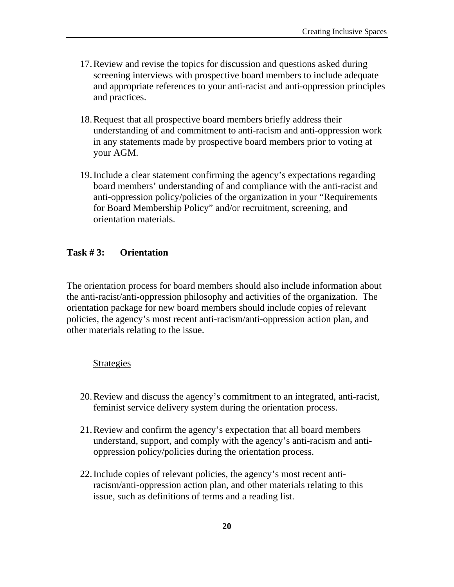- 17.Review and revise the topics for discussion and questions asked during screening interviews with prospective board members to include adequate and appropriate references to your anti-racist and anti-oppression principles and practices.
- 18.Request that all prospective board members briefly address their understanding of and commitment to anti-racism and anti-oppression work in any statements made by prospective board members prior to voting at your AGM.
- 19.Include a clear statement confirming the agency's expectations regarding board members' understanding of and compliance with the anti-racist and anti-oppression policy/policies of the organization in your "Requirements for Board Membership Policy" and/or recruitment, screening, and orientation materials.

#### **Task # 3: Orientation**

The orientation process for board members should also include information about the anti-racist/anti-oppression philosophy and activities of the organization. The orientation package for new board members should include copies of relevant policies, the agency's most recent anti-racism/anti-oppression action plan, and other materials relating to the issue.

#### Strategies

- 20.Review and discuss the agency's commitment to an integrated, anti-racist, feminist service delivery system during the orientation process.
- 21.Review and confirm the agency's expectation that all board members understand, support, and comply with the agency's anti-racism and antioppression policy/policies during the orientation process.
- 22.Include copies of relevant policies, the agency's most recent antiracism/anti-oppression action plan, and other materials relating to this issue, such as definitions of terms and a reading list.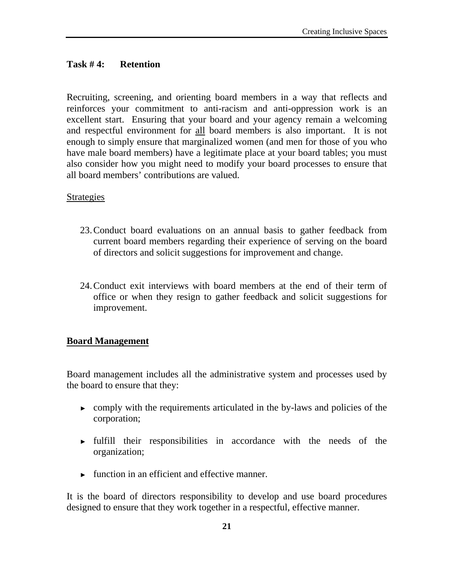#### **Task # 4: Retention**

Recruiting, screening, and orienting board members in a way that reflects and reinforces your commitment to anti-racism and anti-oppression work is an excellent start. Ensuring that your board and your agency remain a welcoming and respectful environment for all board members is also important. It is not enough to simply ensure that marginalized women (and men for those of you who have male board members) have a legitimate place at your board tables; you must also consider how you might need to modify your board processes to ensure that all board members' contributions are valued.

#### Strategies

- 23.Conduct board evaluations on an annual basis to gather feedback from current board members regarding their experience of serving on the board of directors and solicit suggestions for improvement and change.
- 24.Conduct exit interviews with board members at the end of their term of office or when they resign to gather feedback and solicit suggestions for improvement.

#### **Board Management**

Board management includes all the administrative system and processes used by the board to ensure that they:

- ► comply with the requirements articulated in the by-laws and policies of the corporation;
- ► fulfill their responsibilities in accordance with the needs of the organization;
- $\blacktriangleright$  function in an efficient and effective manner.

It is the board of directors responsibility to develop and use board procedures designed to ensure that they work together in a respectful, effective manner.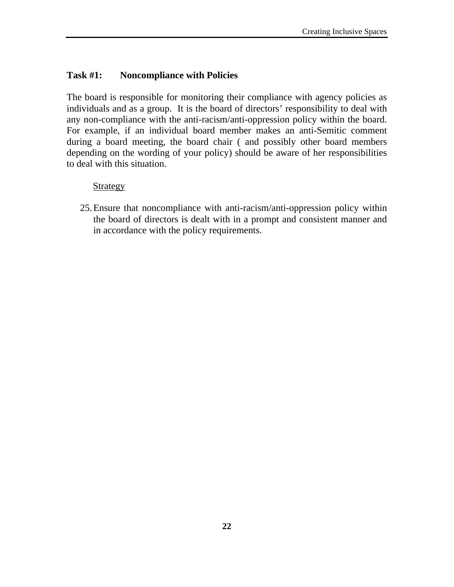#### **Task #1: Noncompliance with Policies**

The board is responsible for monitoring their compliance with agency policies as individuals and as a group. It is the board of directors' responsibility to deal with any non-compliance with the anti-racism/anti-oppression policy within the board. For example, if an individual board member makes an anti-Semitic comment during a board meeting, the board chair ( and possibly other board members depending on the wording of your policy) should be aware of her responsibilities to deal with this situation.

#### Strategy

25.Ensure that noncompliance with anti-racism/anti-oppression policy within the board of directors is dealt with in a prompt and consistent manner and in accordance with the policy requirements.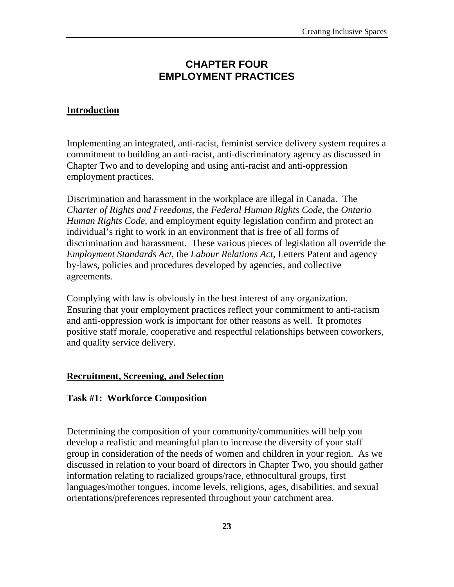# **CHAPTER FOUR EMPLOYMENT PRACTICES**

#### **Introduction**

Implementing an integrated, anti-racist, feminist service delivery system requires a commitment to building an anti-racist, anti-discriminatory agency as discussed in Chapter Two and to developing and using anti-racist and anti-oppression employment practices.

Discrimination and harassment in the workplace are illegal in Canada. The *Charter of Rights and Freedoms*, the *Federal Human Rights Code*, the *Ontario Human Rights Code*, and employment equity legislation confirm and protect an individual's right to work in an environment that is free of all forms of discrimination and harassment. These various pieces of legislation all override the *Employment Standards Act*, the *Labour Relations Act*, Letters Patent and agency by-laws, policies and procedures developed by agencies, and collective agreements.

Complying with law is obviously in the best interest of any organization. Ensuring that your employment practices reflect your commitment to anti-racism and anti-oppression work is important for other reasons as well. It promotes positive staff morale, cooperative and respectful relationships between coworkers, and quality service delivery.

#### **Recruitment, Screening, and Selection**

#### **Task #1: Workforce Composition**

Determining the composition of your community/communities will help you develop a realistic and meaningful plan to increase the diversity of your staff group in consideration of the needs of women and children in your region. As we discussed in relation to your board of directors in Chapter Two, you should gather information relating to racialized groups/race, ethnocultural groups, first languages/mother tongues, income levels, religions, ages, disabilities, and sexual orientations/preferences represented throughout your catchment area.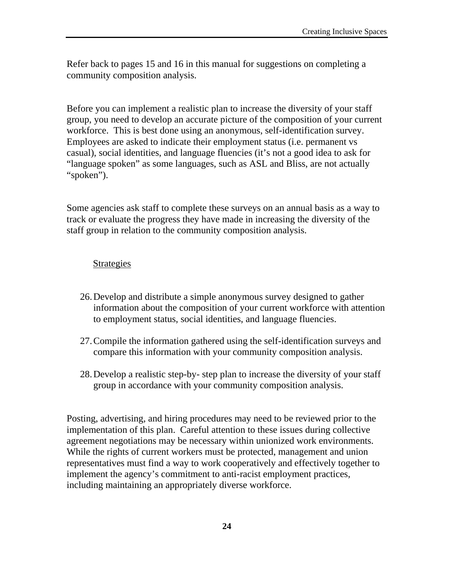Refer back to pages 15 and 16 in this manual for suggestions on completing a community composition analysis.

Before you can implement a realistic plan to increase the diversity of your staff group, you need to develop an accurate picture of the composition of your current workforce. This is best done using an anonymous, self-identification survey. Employees are asked to indicate their employment status (i.e. permanent vs casual), social identities, and language fluencies (it's not a good idea to ask for "language spoken" as some languages, such as ASL and Bliss, are not actually "spoken").

Some agencies ask staff to complete these surveys on an annual basis as a way to track or evaluate the progress they have made in increasing the diversity of the staff group in relation to the community composition analysis.

#### **Strategies**

- 26.Develop and distribute a simple anonymous survey designed to gather information about the composition of your current workforce with attention to employment status, social identities, and language fluencies.
- 27.Compile the information gathered using the self-identification surveys and compare this information with your community composition analysis.
- 28.Develop a realistic step-by- step plan to increase the diversity of your staff group in accordance with your community composition analysis.

Posting, advertising, and hiring procedures may need to be reviewed prior to the implementation of this plan. Careful attention to these issues during collective agreement negotiations may be necessary within unionized work environments. While the rights of current workers must be protected, management and union representatives must find a way to work cooperatively and effectively together to implement the agency's commitment to anti-racist employment practices, including maintaining an appropriately diverse workforce.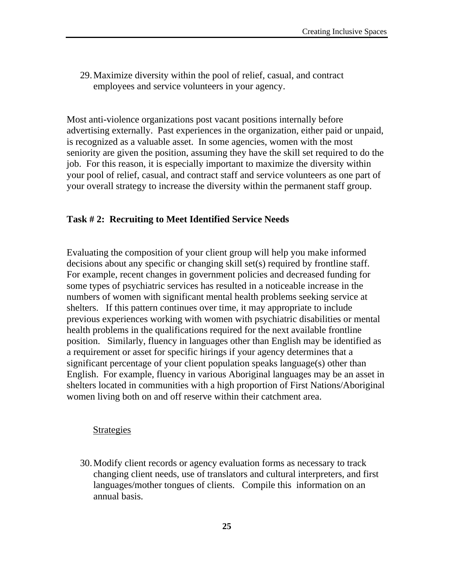29.Maximize diversity within the pool of relief, casual, and contract employees and service volunteers in your agency.

Most anti-violence organizations post vacant positions internally before advertising externally. Past experiences in the organization, either paid or unpaid, is recognized as a valuable asset. In some agencies, women with the most seniority are given the position, assuming they have the skill set required to do the job. For this reason, it is especially important to maximize the diversity within your pool of relief, casual, and contract staff and service volunteers as one part of your overall strategy to increase the diversity within the permanent staff group.

#### **Task # 2: Recruiting to Meet Identified Service Needs**

Evaluating the composition of your client group will help you make informed decisions about any specific or changing skill set(s) required by frontline staff. For example, recent changes in government policies and decreased funding for some types of psychiatric services has resulted in a noticeable increase in the numbers of women with significant mental health problems seeking service at shelters. If this pattern continues over time, it may appropriate to include previous experiences working with women with psychiatric disabilities or mental health problems in the qualifications required for the next available frontline position. Similarly, fluency in languages other than English may be identified as a requirement or asset for specific hirings if your agency determines that a significant percentage of your client population speaks language(s) other than English. For example, fluency in various Aboriginal languages may be an asset in shelters located in communities with a high proportion of First Nations/Aboriginal women living both on and off reserve within their catchment area.

#### **Strategies**

30.Modify client records or agency evaluation forms as necessary to track changing client needs, use of translators and cultural interpreters, and first languages/mother tongues of clients. Compile this information on an annual basis.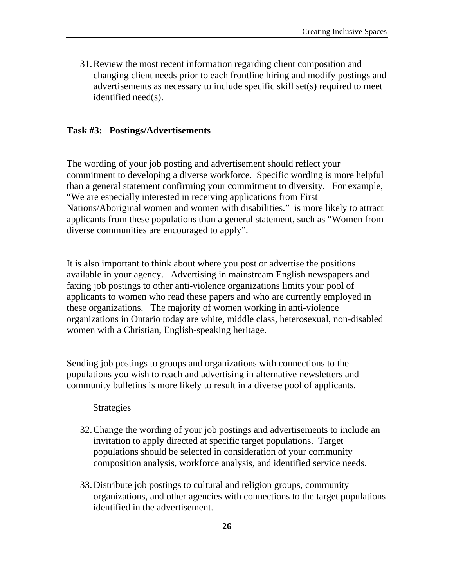31.Review the most recent information regarding client composition and changing client needs prior to each frontline hiring and modify postings and advertisements as necessary to include specific skill set(s) required to meet identified need(s).

#### **Task #3: Postings/Advertisements**

The wording of your job posting and advertisement should reflect your commitment to developing a diverse workforce. Specific wording is more helpful than a general statement confirming your commitment to diversity. For example, "We are especially interested in receiving applications from First Nations/Aboriginal women and women with disabilities." is more likely to attract applicants from these populations than a general statement, such as "Women from diverse communities are encouraged to apply".

It is also important to think about where you post or advertise the positions available in your agency. Advertising in mainstream English newspapers and faxing job postings to other anti-violence organizations limits your pool of applicants to women who read these papers and who are currently employed in these organizations. The majority of women working in anti-violence organizations in Ontario today are white, middle class, heterosexual, non-disabled women with a Christian, English-speaking heritage.

Sending job postings to groups and organizations with connections to the populations you wish to reach and advertising in alternative newsletters and community bulletins is more likely to result in a diverse pool of applicants.

#### Strategies

- 32.Change the wording of your job postings and advertisements to include an invitation to apply directed at specific target populations. Target populations should be selected in consideration of your community composition analysis, workforce analysis, and identified service needs.
- 33.Distribute job postings to cultural and religion groups, community organizations, and other agencies with connections to the target populations identified in the advertisement.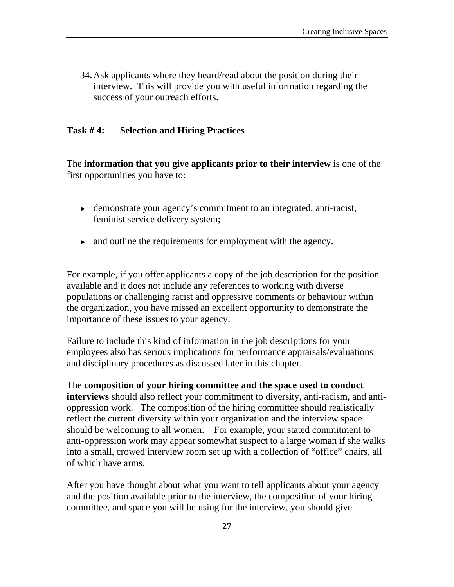34.Ask applicants where they heard/read about the position during their interview. This will provide you with useful information regarding the success of your outreach efforts.

#### **Task # 4: Selection and Hiring Practices**

The **information that you give applicants prior to their interview** is one of the first opportunities you have to:

- ► demonstrate your agency's commitment to an integrated, anti-racist, feminist service delivery system;
- ► and outline the requirements for employment with the agency.

For example, if you offer applicants a copy of the job description for the position available and it does not include any references to working with diverse populations or challenging racist and oppressive comments or behaviour within the organization, you have missed an excellent opportunity to demonstrate the importance of these issues to your agency.

Failure to include this kind of information in the job descriptions for your employees also has serious implications for performance appraisals/evaluations and disciplinary procedures as discussed later in this chapter.

The **composition of your hiring committee and the space used to conduct interviews** should also reflect your commitment to diversity, anti-racism, and antioppression work. The composition of the hiring committee should realistically reflect the current diversity within your organization and the interview space should be welcoming to all women. For example, your stated commitment to anti-oppression work may appear somewhat suspect to a large woman if she walks into a small, crowed interview room set up with a collection of "office" chairs, all of which have arms.

After you have thought about what you want to tell applicants about your agency and the position available prior to the interview, the composition of your hiring committee, and space you will be using for the interview, you should give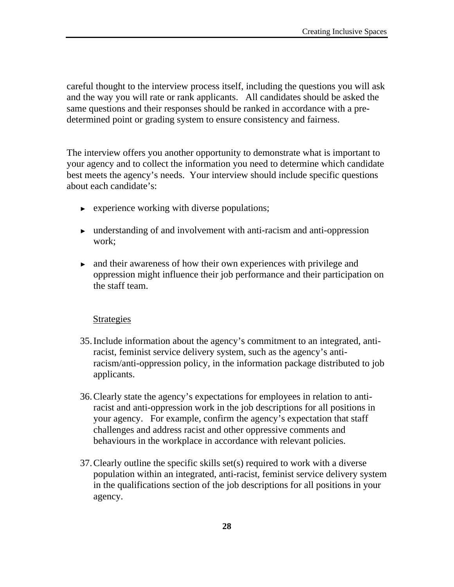careful thought to the interview process itself, including the questions you will ask and the way you will rate or rank applicants. All candidates should be asked the same questions and their responses should be ranked in accordance with a predetermined point or grading system to ensure consistency and fairness.

The interview offers you another opportunity to demonstrate what is important to your agency and to collect the information you need to determine which candidate best meets the agency's needs. Your interview should include specific questions about each candidate's:

- ► experience working with diverse populations;
- ► understanding of and involvement with anti-racism and anti-oppression work;
- ► and their awareness of how their own experiences with privilege and oppression might influence their job performance and their participation on the staff team.

#### Strategies

- 35.Include information about the agency's commitment to an integrated, antiracist, feminist service delivery system, such as the agency's antiracism/anti-oppression policy, in the information package distributed to job applicants.
- 36.Clearly state the agency's expectations for employees in relation to antiracist and anti-oppression work in the job descriptions for all positions in your agency. For example, confirm the agency's expectation that staff challenges and address racist and other oppressive comments and behaviours in the workplace in accordance with relevant policies.
- 37.Clearly outline the specific skills set(s) required to work with a diverse population within an integrated, anti-racist, feminist service delivery system in the qualifications section of the job descriptions for all positions in your agency.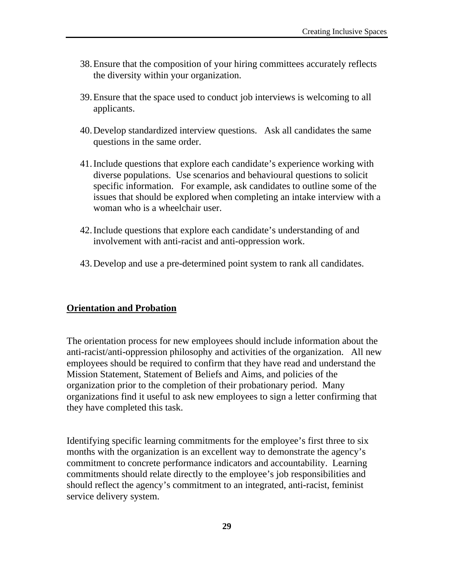- 38.Ensure that the composition of your hiring committees accurately reflects the diversity within your organization.
- 39.Ensure that the space used to conduct job interviews is welcoming to all applicants.
- 40.Develop standardized interview questions. Ask all candidates the same questions in the same order.
- 41.Include questions that explore each candidate's experience working with diverse populations. Use scenarios and behavioural questions to solicit specific information. For example, ask candidates to outline some of the issues that should be explored when completing an intake interview with a woman who is a wheelchair user.
- 42.Include questions that explore each candidate's understanding of and involvement with anti-racist and anti-oppression work.
- 43.Develop and use a pre-determined point system to rank all candidates.

#### **Orientation and Probation**

The orientation process for new employees should include information about the anti-racist/anti-oppression philosophy and activities of the organization. All new employees should be required to confirm that they have read and understand the Mission Statement, Statement of Beliefs and Aims, and policies of the organization prior to the completion of their probationary period. Many organizations find it useful to ask new employees to sign a letter confirming that they have completed this task.

Identifying specific learning commitments for the employee's first three to six months with the organization is an excellent way to demonstrate the agency's commitment to concrete performance indicators and accountability. Learning commitments should relate directly to the employee's job responsibilities and should reflect the agency's commitment to an integrated, anti-racist, feminist service delivery system.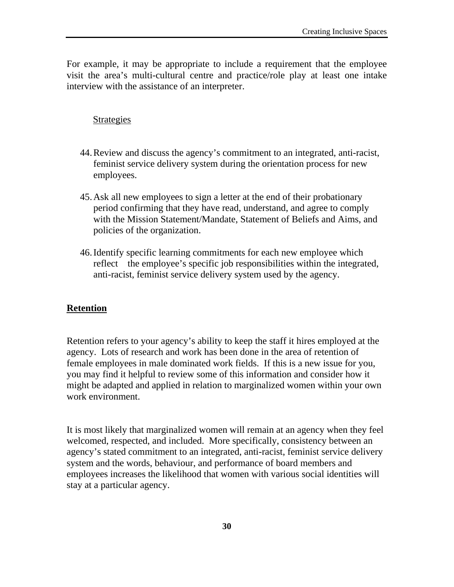For example, it may be appropriate to include a requirement that the employee visit the area's multi-cultural centre and practice/role play at least one intake interview with the assistance of an interpreter.

#### **Strategies**

- 44.Review and discuss the agency's commitment to an integrated, anti-racist, feminist service delivery system during the orientation process for new employees.
- 45.Ask all new employees to sign a letter at the end of their probationary period confirming that they have read, understand, and agree to comply with the Mission Statement/Mandate, Statement of Beliefs and Aims, and policies of the organization.
- 46.Identify specific learning commitments for each new employee which reflect the employee's specific job responsibilities within the integrated, anti-racist, feminist service delivery system used by the agency.

#### **Retention**

Retention refers to your agency's ability to keep the staff it hires employed at the agency. Lots of research and work has been done in the area of retention of female employees in male dominated work fields. If this is a new issue for you, you may find it helpful to review some of this information and consider how it might be adapted and applied in relation to marginalized women within your own work environment.

It is most likely that marginalized women will remain at an agency when they feel welcomed, respected, and included. More specifically, consistency between an agency's stated commitment to an integrated, anti-racist, feminist service delivery system and the words, behaviour, and performance of board members and employees increases the likelihood that women with various social identities will stay at a particular agency.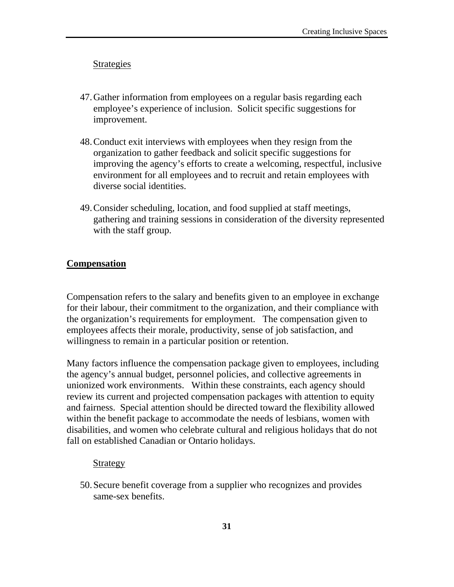#### Strategies

- 47.Gather information from employees on a regular basis regarding each employee's experience of inclusion. Solicit specific suggestions for improvement.
- 48.Conduct exit interviews with employees when they resign from the organization to gather feedback and solicit specific suggestions for improving the agency's efforts to create a welcoming, respectful, inclusive environment for all employees and to recruit and retain employees with diverse social identities.
- 49.Consider scheduling, location, and food supplied at staff meetings, gathering and training sessions in consideration of the diversity represented with the staff group.

#### **Compensation**

Compensation refers to the salary and benefits given to an employee in exchange for their labour, their commitment to the organization, and their compliance with the organization's requirements for employment. The compensation given to employees affects their morale, productivity, sense of job satisfaction, and willingness to remain in a particular position or retention.

Many factors influence the compensation package given to employees, including the agency's annual budget, personnel policies, and collective agreements in unionized work environments. Within these constraints, each agency should review its current and projected compensation packages with attention to equity and fairness. Special attention should be directed toward the flexibility allowed within the benefit package to accommodate the needs of lesbians, women with disabilities, and women who celebrate cultural and religious holidays that do not fall on established Canadian or Ontario holidays.

#### **Strategy**

50.Secure benefit coverage from a supplier who recognizes and provides same-sex benefits.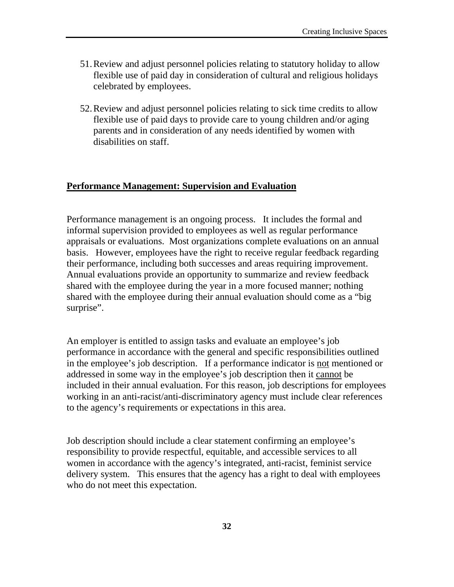- 51.Review and adjust personnel policies relating to statutory holiday to allow flexible use of paid day in consideration of cultural and religious holidays celebrated by employees.
- 52.Review and adjust personnel policies relating to sick time credits to allow flexible use of paid days to provide care to young children and/or aging parents and in consideration of any needs identified by women with disabilities on staff.

#### **Performance Management: Supervision and Evaluation**

Performance management is an ongoing process. It includes the formal and informal supervision provided to employees as well as regular performance appraisals or evaluations. Most organizations complete evaluations on an annual basis. However, employees have the right to receive regular feedback regarding their performance, including both successes and areas requiring improvement. Annual evaluations provide an opportunity to summarize and review feedback shared with the employee during the year in a more focused manner; nothing shared with the employee during their annual evaluation should come as a "big surprise".

An employer is entitled to assign tasks and evaluate an employee's job performance in accordance with the general and specific responsibilities outlined in the employee's job description. If a performance indicator is not mentioned or addressed in some way in the employee's job description then it cannot be included in their annual evaluation. For this reason, job descriptions for employees working in an anti-racist/anti-discriminatory agency must include clear references to the agency's requirements or expectations in this area.

Job description should include a clear statement confirming an employee's responsibility to provide respectful, equitable, and accessible services to all women in accordance with the agency's integrated, anti-racist, feminist service delivery system. This ensures that the agency has a right to deal with employees who do not meet this expectation.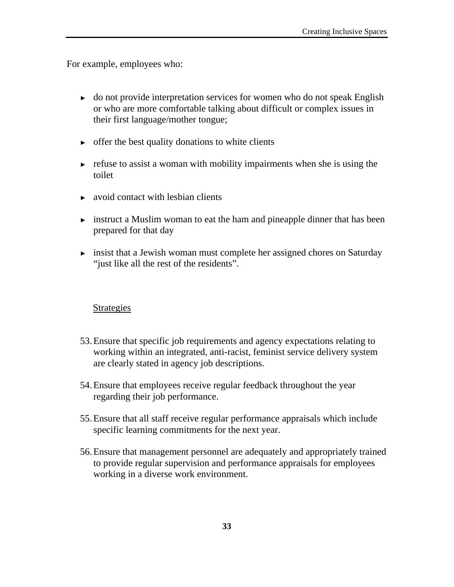For example, employees who:

- ► do not provide interpretation services for women who do not speak English or who are more comfortable talking about difficult or complex issues in their first language/mother tongue;
- $\triangleright$  offer the best quality donations to white clients
- $\triangleright$  refuse to assist a woman with mobility impairments when she is using the toilet
- $\rightarrow$  avoid contact with lesbian clients
- ► instruct a Muslim woman to eat the ham and pineapple dinner that has been prepared for that day
- ► insist that a Jewish woman must complete her assigned chores on Saturday "just like all the rest of the residents".

#### **Strategies**

- 53.Ensure that specific job requirements and agency expectations relating to working within an integrated, anti-racist, feminist service delivery system are clearly stated in agency job descriptions.
- 54.Ensure that employees receive regular feedback throughout the year regarding their job performance.
- 55.Ensure that all staff receive regular performance appraisals which include specific learning commitments for the next year.
- 56.Ensure that management personnel are adequately and appropriately trained to provide regular supervision and performance appraisals for employees working in a diverse work environment.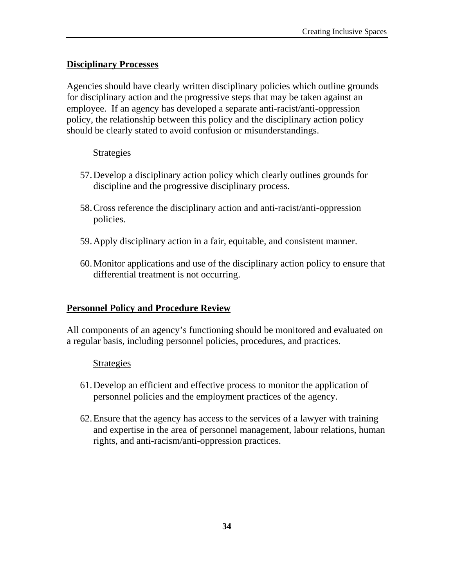#### **Disciplinary Processes**

Agencies should have clearly written disciplinary policies which outline grounds for disciplinary action and the progressive steps that may be taken against an employee. If an agency has developed a separate anti-racist/anti-oppression policy, the relationship between this policy and the disciplinary action policy should be clearly stated to avoid confusion or misunderstandings.

#### Strategies

- 57.Develop a disciplinary action policy which clearly outlines grounds for discipline and the progressive disciplinary process.
- 58.Cross reference the disciplinary action and anti-racist/anti-oppression policies.
- 59.Apply disciplinary action in a fair, equitable, and consistent manner.
- 60.Monitor applications and use of the disciplinary action policy to ensure that differential treatment is not occurring.

#### **Personnel Policy and Procedure Review**

All components of an agency's functioning should be monitored and evaluated on a regular basis, including personnel policies, procedures, and practices.

#### Strategies

- 61.Develop an efficient and effective process to monitor the application of personnel policies and the employment practices of the agency.
- 62.Ensure that the agency has access to the services of a lawyer with training and expertise in the area of personnel management, labour relations, human rights, and anti-racism/anti-oppression practices.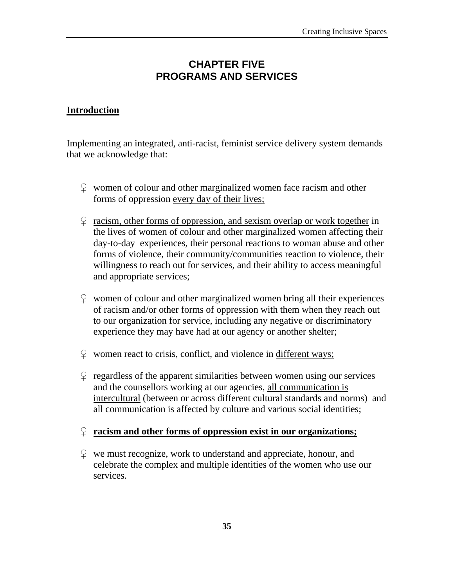# **CHAPTER FIVE PROGRAMS AND SERVICES**

#### **Introduction**

Implementing an integrated, anti-racist, feminist service delivery system demands that we acknowledge that:

- $\Omega$  women of colour and other marginalized women face racism and other forms of oppression every day of their lives;
- $\Omega$  racism, other forms of oppression, and sexism overlap or work together in the lives of women of colour and other marginalized women affecting their day-to-day experiences, their personal reactions to woman abuse and other forms of violence, their community/communities reaction to violence, their willingness to reach out for services, and their ability to access meaningful and appropriate services;
- $\degree$  women of colour and other marginalized women bring all their experiences of racism and/or other forms of oppression with them when they reach out to our organization for service, including any negative or discriminatory experience they may have had at our agency or another shelter;
- $\degree$  women react to crisis, conflict, and violence in different ways;
- $\degree$  regardless of the apparent similarities between women using our services and the counsellors working at our agencies, all communication is intercultural (between or across different cultural standards and norms) and all communication is affected by culture and various social identities;

#### ♀ **racism and other forms of oppression exist in our organizations;**

 $\mathcal{L}$  we must recognize, work to understand and appreciate, honour, and celebrate the complex and multiple identities of the women who use our services.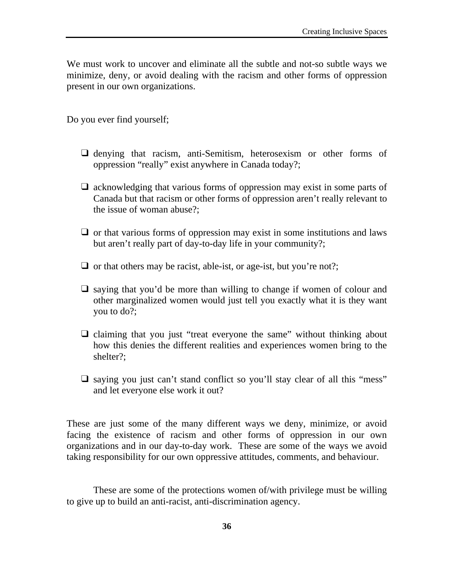We must work to uncover and eliminate all the subtle and not-so subtle ways we minimize, deny, or avoid dealing with the racism and other forms of oppression present in our own organizations.

Do you ever find yourself;

- ❑ denying that racism, anti-Semitism, heterosexism or other forms of oppression "really" exist anywhere in Canada today?;
- ❑ acknowledging that various forms of oppression may exist in some parts of Canada but that racism or other forms of oppression aren't really relevant to the issue of woman abuse?;
- $\Box$  or that various forms of oppression may exist in some institutions and laws but aren't really part of day-to-day life in your community?;
- $\Box$  or that others may be racist, able-ist, or age-ist, but you're not?;
- ❑ saying that you'd be more than willing to change if women of colour and other marginalized women would just tell you exactly what it is they want you to do?;
- ❑ claiming that you just "treat everyone the same" without thinking about how this denies the different realities and experiences women bring to the shelter?;
- □ saying you just can't stand conflict so you'll stay clear of all this "mess" and let everyone else work it out?

These are just some of the many different ways we deny, minimize, or avoid facing the existence of racism and other forms of oppression in our own organizations and in our day-to-day work. These are some of the ways we avoid taking responsibility for our own oppressive attitudes, comments, and behaviour.

These are some of the protections women of/with privilege must be willing to give up to build an anti-racist, anti-discrimination agency.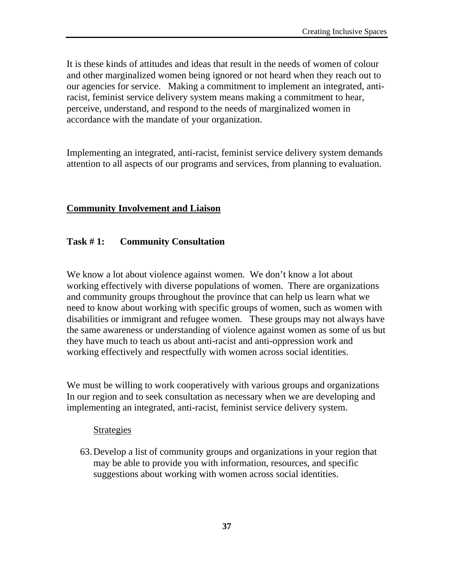It is these kinds of attitudes and ideas that result in the needs of women of colour and other marginalized women being ignored or not heard when they reach out to our agencies for service. Making a commitment to implement an integrated, antiracist, feminist service delivery system means making a commitment to hear, perceive, understand, and respond to the needs of marginalized women in accordance with the mandate of your organization.

Implementing an integrated, anti-racist, feminist service delivery system demands attention to all aspects of our programs and services, from planning to evaluation.

# **Community Involvement and Liaison**

# **Task # 1: Community Consultation**

We know a lot about violence against women. We don't know a lot about working effectively with diverse populations of women. There are organizations and community groups throughout the province that can help us learn what we need to know about working with specific groups of women, such as women with disabilities or immigrant and refugee women. These groups may not always have the same awareness or understanding of violence against women as some of us but they have much to teach us about anti-racist and anti-oppression work and working effectively and respectfully with women across social identities.

We must be willing to work cooperatively with various groups and organizations In our region and to seek consultation as necessary when we are developing and implementing an integrated, anti-racist, feminist service delivery system.

#### **Strategies**

63.Develop a list of community groups and organizations in your region that may be able to provide you with information, resources, and specific suggestions about working with women across social identities.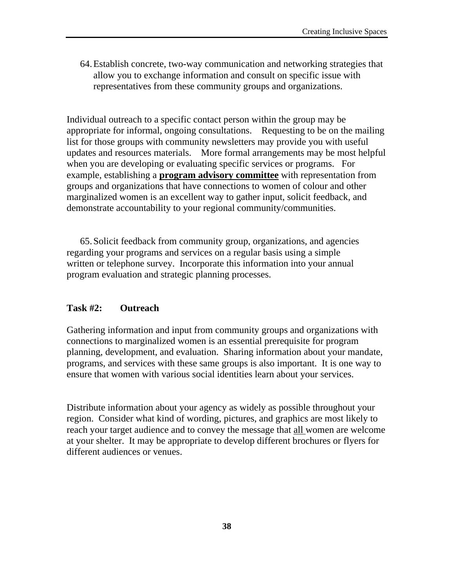64.Establish concrete, two-way communication and networking strategies that allow you to exchange information and consult on specific issue with representatives from these community groups and organizations.

Individual outreach to a specific contact person within the group may be appropriate for informal, ongoing consultations. Requesting to be on the mailing list for those groups with community newsletters may provide you with useful updates and resources materials. More formal arrangements may be most helpful when you are developing or evaluating specific services or programs. For example, establishing a **program advisory committee** with representation from groups and organizations that have connections to women of colour and other marginalized women is an excellent way to gather input, solicit feedback, and demonstrate accountability to your regional community/communities.

65.Solicit feedback from community group, organizations, and agencies regarding your programs and services on a regular basis using a simple written or telephone survey. Incorporate this information into your annual program evaluation and strategic planning processes.

# **Task #2: Outreach**

Gathering information and input from community groups and organizations with connections to marginalized women is an essential prerequisite for program planning, development, and evaluation. Sharing information about your mandate, programs, and services with these same groups is also important. It is one way to ensure that women with various social identities learn about your services.

Distribute information about your agency as widely as possible throughout your region. Consider what kind of wording, pictures, and graphics are most likely to reach your target audience and to convey the message that all women are welcome at your shelter. It may be appropriate to develop different brochures or flyers for different audiences or venues.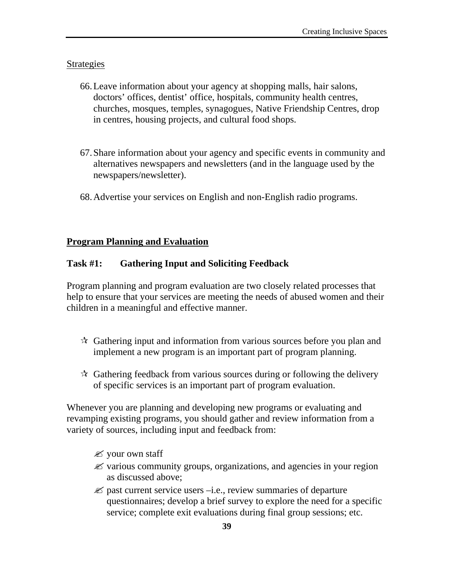### Strategies

- 66.Leave information about your agency at shopping malls, hair salons, doctors' offices, dentist' office, hospitals, community health centres, churches, mosques, temples, synagogues, Native Friendship Centres, drop in centres, housing projects, and cultural food shops.
- 67.Share information about your agency and specific events in community and alternatives newspapers and newsletters (and in the language used by the newspapers/newsletter).
- 68.Advertise your services on English and non-English radio programs.

### **Program Planning and Evaluation**

#### **Task #1: Gathering Input and Soliciting Feedback**

Program planning and program evaluation are two closely related processes that help to ensure that your services are meeting the needs of abused women and their children in a meaningful and effective manner.

- $\mathcal{A}$  Gathering input and information from various sources before you plan and implement a new program is an important part of program planning.
- $\mathcal{A}$  Gathering feedback from various sources during or following the delivery of specific services is an important part of program evaluation.

Whenever you are planning and developing new programs or evaluating and revamping existing programs, you should gather and review information from a variety of sources, including input and feedback from:

- $\mathscr{\mathscr{E}}$  your own staff
- $\mathscr{\mathscr{L}}$  various community groups, organizations, and agencies in your region as discussed above;
- $\mathscr{\mathscr{E}}$  past current service users –i.e., review summaries of departure questionnaires; develop a brief survey to explore the need for a specific service; complete exit evaluations during final group sessions; etc.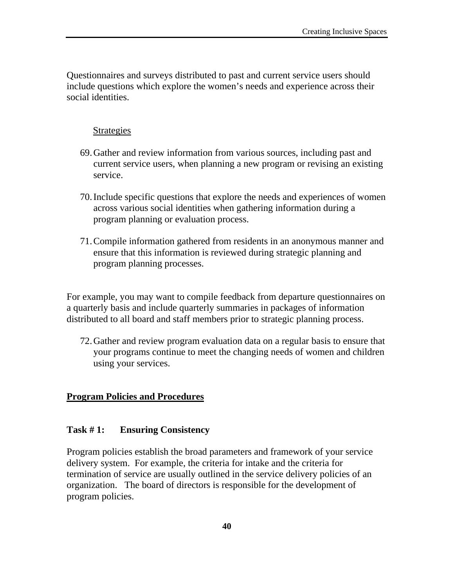Questionnaires and surveys distributed to past and current service users should include questions which explore the women's needs and experience across their social identities.

# **Strategies**

- 69.Gather and review information from various sources, including past and current service users, when planning a new program or revising an existing service.
- 70.Include specific questions that explore the needs and experiences of women across various social identities when gathering information during a program planning or evaluation process.
- 71.Compile information gathered from residents in an anonymous manner and ensure that this information is reviewed during strategic planning and program planning processes.

For example, you may want to compile feedback from departure questionnaires on a quarterly basis and include quarterly summaries in packages of information distributed to all board and staff members prior to strategic planning process.

72.Gather and review program evaluation data on a regular basis to ensure that your programs continue to meet the changing needs of women and children using your services.

# **Program Policies and Procedures**

### **Task # 1: Ensuring Consistency**

Program policies establish the broad parameters and framework of your service delivery system. For example, the criteria for intake and the criteria for termination of service are usually outlined in the service delivery policies of an organization. The board of directors is responsible for the development of program policies.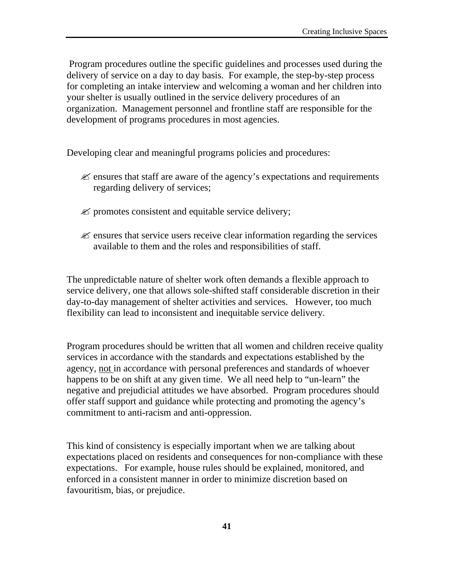Program procedures outline the specific guidelines and processes used during the delivery of service on a day to day basis. For example, the step-by-step process for completing an intake interview and welcoming a woman and her children into your shelter is usually outlined in the service delivery procedures of an organization. Management personnel and frontline staff are responsible for the development of programs procedures in most agencies.

Developing clear and meaningful programs policies and procedures:

- $\mathscr{\mathscr{L}}$  ensures that staff are aware of the agency's expectations and requirements regarding delivery of services;
- $\mathscr{\mathscr{L}}$  promotes consistent and equitable service delivery;
- $\mathscr{\mathscr{E}}$  ensures that service users receive clear information regarding the services available to them and the roles and responsibilities of staff.

The unpredictable nature of shelter work often demands a flexible approach to service delivery, one that allows sole-shifted staff considerable discretion in their day-to-day management of shelter activities and services. However, too much flexibility can lead to inconsistent and inequitable service delivery.

Program procedures should be written that all women and children receive quality services in accordance with the standards and expectations established by the agency, not in accordance with personal preferences and standards of whoever happens to be on shift at any given time. We all need help to "un-learn" the negative and prejudicial attitudes we have absorbed. Program procedures should offer staff support and guidance while protecting and promoting the agency's commitment to anti-racism and anti-oppression.

This kind of consistency is especially important when we are talking about expectations placed on residents and consequences for non-compliance with these expectations. For example, house rules should be explained, monitored, and enforced in a consistent manner in order to minimize discretion based on favouritism, bias, or prejudice.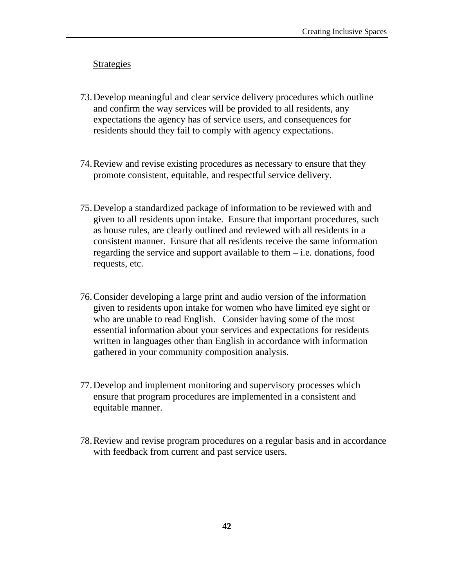#### Strategies

- 73.Develop meaningful and clear service delivery procedures which outline and confirm the way services will be provided to all residents, any expectations the agency has of service users, and consequences for residents should they fail to comply with agency expectations.
- 74.Review and revise existing procedures as necessary to ensure that they promote consistent, equitable, and respectful service delivery.
- 75.Develop a standardized package of information to be reviewed with and given to all residents upon intake. Ensure that important procedures, such as house rules, are clearly outlined and reviewed with all residents in a consistent manner. Ensure that all residents receive the same information regarding the service and support available to them – i.e. donations, food requests, etc.
- 76.Consider developing a large print and audio version of the information given to residents upon intake for women who have limited eye sight or who are unable to read English. Consider having some of the most essential information about your services and expectations for residents written in languages other than English in accordance with information gathered in your community composition analysis.
- 77.Develop and implement monitoring and supervisory processes which ensure that program procedures are implemented in a consistent and equitable manner.
- 78.Review and revise program procedures on a regular basis and in accordance with feedback from current and past service users.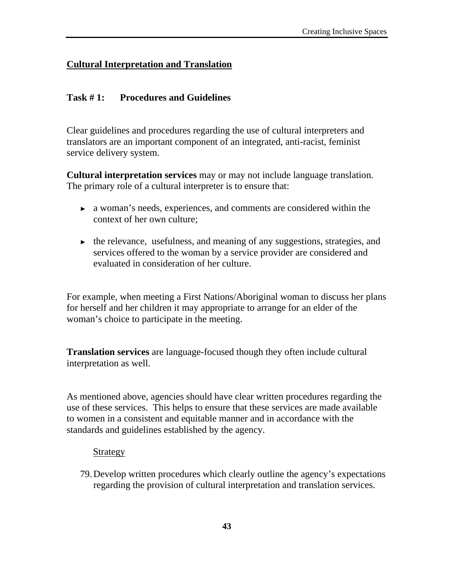# **Cultural Interpretation and Translation**

### **Task # 1: Procedures and Guidelines**

Clear guidelines and procedures regarding the use of cultural interpreters and translators are an important component of an integrated, anti-racist, feminist service delivery system.

**Cultural interpretation services** may or may not include language translation. The primary role of a cultural interpreter is to ensure that:

- ► a woman's needs, experiences, and comments are considered within the context of her own culture;
- ► the relevance, usefulness, and meaning of any suggestions, strategies, and services offered to the woman by a service provider are considered and evaluated in consideration of her culture.

For example, when meeting a First Nations/Aboriginal woman to discuss her plans for herself and her children it may appropriate to arrange for an elder of the woman's choice to participate in the meeting.

**Translation services** are language-focused though they often include cultural interpretation as well.

As mentioned above, agencies should have clear written procedures regarding the use of these services. This helps to ensure that these services are made available to women in a consistent and equitable manner and in accordance with the standards and guidelines established by the agency.

#### **Strategy**

79.Develop written procedures which clearly outline the agency's expectations regarding the provision of cultural interpretation and translation services.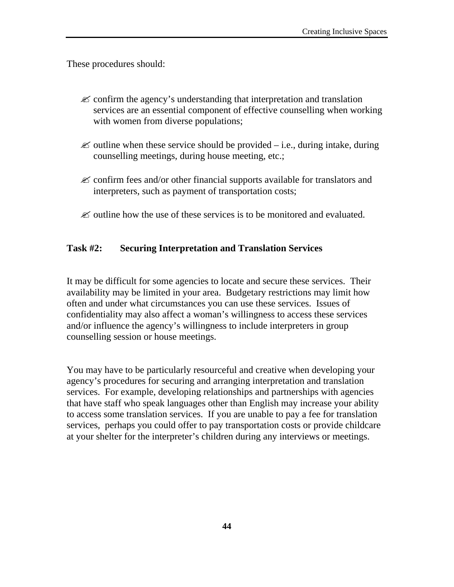These procedures should:

- $\mathscr{\mathscr{L}}$  confirm the agency's understanding that interpretation and translation services are an essential component of effective counselling when working with women from diverse populations;
- $\mathscr{\mathscr{L}}$  outline when these service should be provided i.e., during intake, during counselling meetings, during house meeting, etc.;
- $\mathscr{\mathscr{L}}$  confirm fees and/or other financial supports available for translators and interpreters, such as payment of transportation costs;
- $\mathscr{\mathscr{L}}$  outline how the use of these services is to be monitored and evaluated.

### **Task #2: Securing Interpretation and Translation Services**

It may be difficult for some agencies to locate and secure these services. Their availability may be limited in your area. Budgetary restrictions may limit how often and under what circumstances you can use these services. Issues of confidentiality may also affect a woman's willingness to access these services and/or influence the agency's willingness to include interpreters in group counselling session or house meetings.

You may have to be particularly resourceful and creative when developing your agency's procedures for securing and arranging interpretation and translation services. For example, developing relationships and partnerships with agencies that have staff who speak languages other than English may increase your ability to access some translation services. If you are unable to pay a fee for translation services, perhaps you could offer to pay transportation costs or provide childcare at your shelter for the interpreter's children during any interviews or meetings.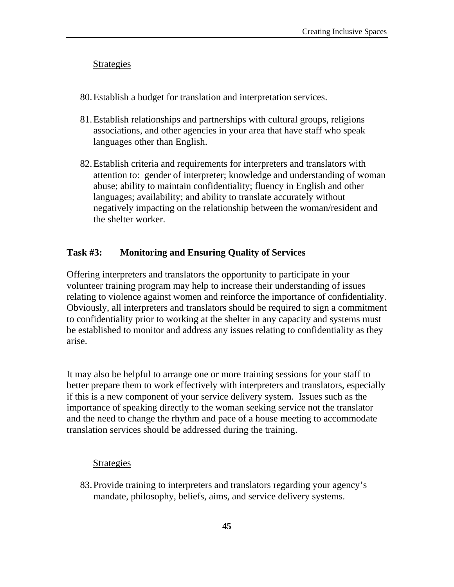### Strategies

- 80.Establish a budget for translation and interpretation services.
- 81.Establish relationships and partnerships with cultural groups, religions associations, and other agencies in your area that have staff who speak languages other than English.
- 82.Establish criteria and requirements for interpreters and translators with attention to: gender of interpreter; knowledge and understanding of woman abuse; ability to maintain confidentiality; fluency in English and other languages; availability; and ability to translate accurately without negatively impacting on the relationship between the woman/resident and the shelter worker.

### **Task #3: Monitoring and Ensuring Quality of Services**

Offering interpreters and translators the opportunity to participate in your volunteer training program may help to increase their understanding of issues relating to violence against women and reinforce the importance of confidentiality. Obviously, all interpreters and translators should be required to sign a commitment to confidentiality prior to working at the shelter in any capacity and systems must be established to monitor and address any issues relating to confidentiality as they arise.

It may also be helpful to arrange one or more training sessions for your staff to better prepare them to work effectively with interpreters and translators, especially if this is a new component of your service delivery system. Issues such as the importance of speaking directly to the woman seeking service not the translator and the need to change the rhythm and pace of a house meeting to accommodate translation services should be addressed during the training.

#### **Strategies**

83.Provide training to interpreters and translators regarding your agency's mandate, philosophy, beliefs, aims, and service delivery systems.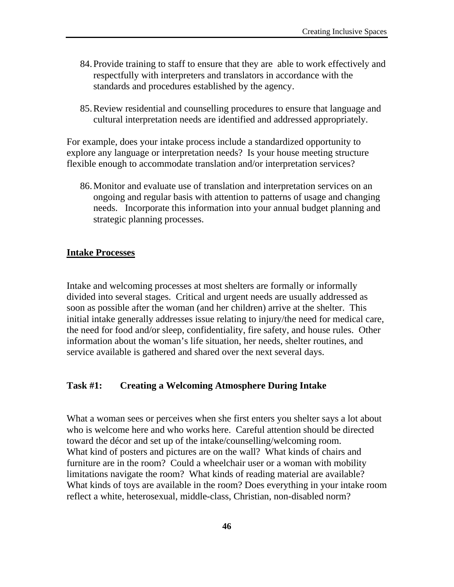- 84.Provide training to staff to ensure that they are able to work effectively and respectfully with interpreters and translators in accordance with the standards and procedures established by the agency.
- 85.Review residential and counselling procedures to ensure that language and cultural interpretation needs are identified and addressed appropriately.

For example, does your intake process include a standardized opportunity to explore any language or interpretation needs? Is your house meeting structure flexible enough to accommodate translation and/or interpretation services?

86.Monitor and evaluate use of translation and interpretation services on an ongoing and regular basis with attention to patterns of usage and changing needs. Incorporate this information into your annual budget planning and strategic planning processes.

#### **Intake Processes**

Intake and welcoming processes at most shelters are formally or informally divided into several stages. Critical and urgent needs are usually addressed as soon as possible after the woman (and her children) arrive at the shelter. This initial intake generally addresses issue relating to injury/the need for medical care, the need for food and/or sleep, confidentiality, fire safety, and house rules. Other information about the woman's life situation, her needs, shelter routines, and service available is gathered and shared over the next several days.

#### **Task #1: Creating a Welcoming Atmosphere During Intake**

What a woman sees or perceives when she first enters you shelter says a lot about who is welcome here and who works here. Careful attention should be directed toward the décor and set up of the intake/counselling/welcoming room. What kind of posters and pictures are on the wall? What kinds of chairs and furniture are in the room? Could a wheelchair user or a woman with mobility limitations navigate the room? What kinds of reading material are available? What kinds of toys are available in the room? Does everything in your intake room reflect a white, heterosexual, middle-class, Christian, non-disabled norm?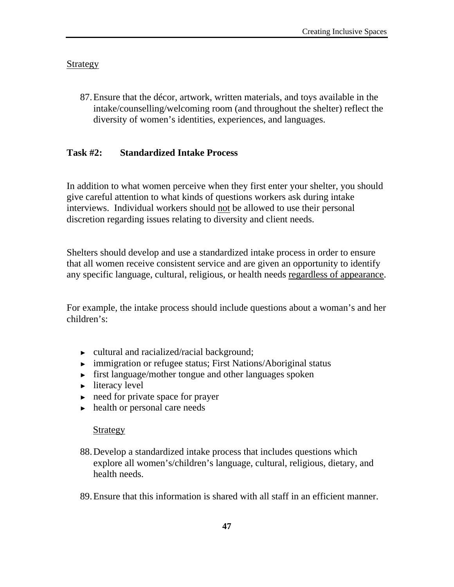# Strategy

87.Ensure that the décor, artwork, written materials, and toys available in the intake/counselling/welcoming room (and throughout the shelter) reflect the diversity of women's identities, experiences, and languages.

### **Task #2: Standardized Intake Process**

In addition to what women perceive when they first enter your shelter, you should give careful attention to what kinds of questions workers ask during intake interviews. Individual workers should not be allowed to use their personal discretion regarding issues relating to diversity and client needs.

Shelters should develop and use a standardized intake process in order to ensure that all women receive consistent service and are given an opportunity to identify any specific language, cultural, religious, or health needs regardless of appearance.

For example, the intake process should include questions about a woman's and her children's:

- ► cultural and racialized/racial background;
- ► immigration or refugee status; First Nations/Aboriginal status
- ► first language/mother tongue and other languages spoken
- $\blacktriangleright$  literacy level
- ► need for private space for prayer
- ► health or personal care needs

#### **Strategy**

- 88.Develop a standardized intake process that includes questions which explore all women's/children's language, cultural, religious, dietary, and health needs.
- 89.Ensure that this information is shared with all staff in an efficient manner.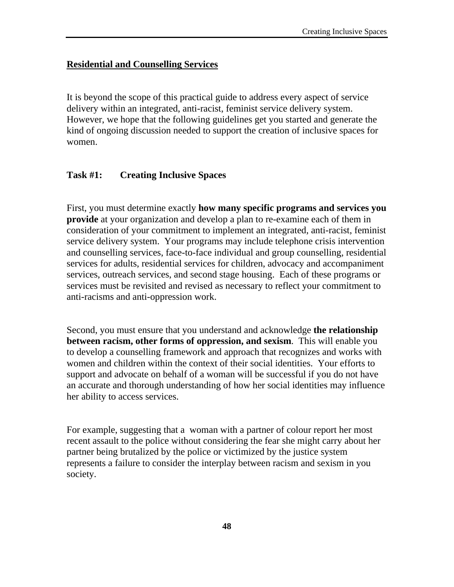# **Residential and Counselling Services**

It is beyond the scope of this practical guide to address every aspect of service delivery within an integrated, anti-racist, feminist service delivery system. However, we hope that the following guidelines get you started and generate the kind of ongoing discussion needed to support the creation of inclusive spaces for women.

# **Task #1: Creating Inclusive Spaces**

First, you must determine exactly **how many specific programs and services you provide** at your organization and develop a plan to re-examine each of them in consideration of your commitment to implement an integrated, anti-racist, feminist service delivery system. Your programs may include telephone crisis intervention and counselling services, face-to-face individual and group counselling, residential services for adults, residential services for children, advocacy and accompaniment services, outreach services, and second stage housing. Each of these programs or services must be revisited and revised as necessary to reflect your commitment to anti-racisms and anti-oppression work.

Second, you must ensure that you understand and acknowledge **the relationship between racism, other forms of oppression, and sexism**. This will enable you to develop a counselling framework and approach that recognizes and works with women and children within the context of their social identities. Your efforts to support and advocate on behalf of a woman will be successful if you do not have an accurate and thorough understanding of how her social identities may influence her ability to access services.

For example, suggesting that a woman with a partner of colour report her most recent assault to the police without considering the fear she might carry about her partner being brutalized by the police or victimized by the justice system represents a failure to consider the interplay between racism and sexism in you society.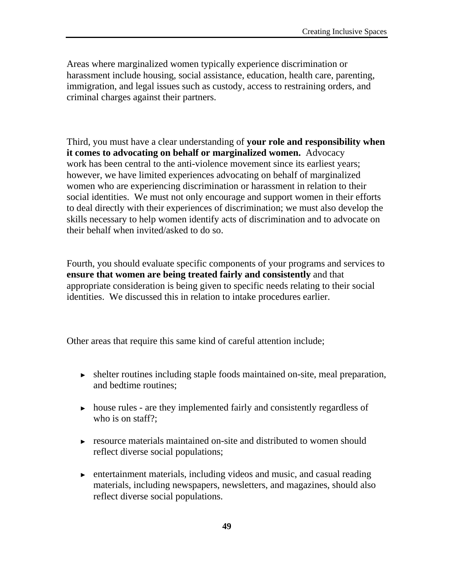Areas where marginalized women typically experience discrimination or harassment include housing, social assistance, education, health care, parenting, immigration, and legal issues such as custody, access to restraining orders, and criminal charges against their partners.

Third, you must have a clear understanding of **your role and responsibility when it comes to advocating on behalf or marginalized women.** Advocacy work has been central to the anti-violence movement since its earliest years; however, we have limited experiences advocating on behalf of marginalized women who are experiencing discrimination or harassment in relation to their social identities. We must not only encourage and support women in their efforts to deal directly with their experiences of discrimination; we must also develop the skills necessary to help women identify acts of discrimination and to advocate on their behalf when invited/asked to do so.

Fourth, you should evaluate specific components of your programs and services to **ensure that women are being treated fairly and consistently** and that appropriate consideration is being given to specific needs relating to their social identities. We discussed this in relation to intake procedures earlier.

Other areas that require this same kind of careful attention include;

- ► shelter routines including staple foods maintained on-site, meal preparation, and bedtime routines;
- ► house rules are they implemented fairly and consistently regardless of who is on staff?:
- ► resource materials maintained on-site and distributed to women should reflect diverse social populations;
- ► entertainment materials, including videos and music, and casual reading materials, including newspapers, newsletters, and magazines, should also reflect diverse social populations.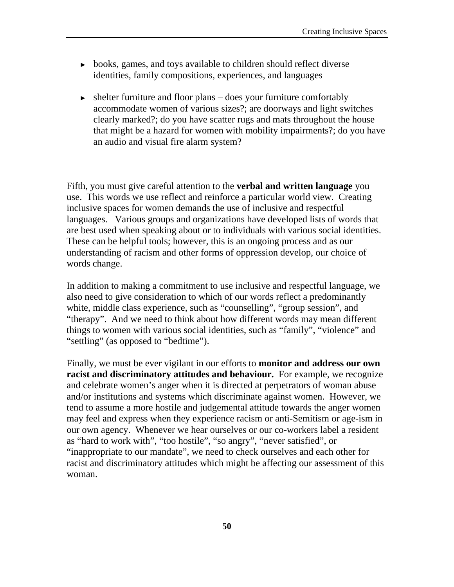- ► books, games, and toys available to children should reflect diverse identities, family compositions, experiences, and languages
- $\triangleright$  shelter furniture and floor plans does your furniture comfortably accommodate women of various sizes?; are doorways and light switches clearly marked?; do you have scatter rugs and mats throughout the house that might be a hazard for women with mobility impairments?; do you have an audio and visual fire alarm system?

Fifth, you must give careful attention to the **verbal and written language** you use. This words we use reflect and reinforce a particular world view. Creating inclusive spaces for women demands the use of inclusive and respectful languages. Various groups and organizations have developed lists of words that are best used when speaking about or to individuals with various social identities. These can be helpful tools; however, this is an ongoing process and as our understanding of racism and other forms of oppression develop, our choice of words change.

In addition to making a commitment to use inclusive and respectful language, we also need to give consideration to which of our words reflect a predominantly white, middle class experience, such as "counselling", "group session", and "therapy". And we need to think about how different words may mean different things to women with various social identities, such as "family", "violence" and "settling" (as opposed to "bedtime").

Finally, we must be ever vigilant in our efforts to **monitor and address our own racist and discriminatory attitudes and behaviour.** For example, we recognize and celebrate women's anger when it is directed at perpetrators of woman abuse and/or institutions and systems which discriminate against women. However, we tend to assume a more hostile and judgemental attitude towards the anger women may feel and express when they experience racism or anti-Semitism or age-ism in our own agency. Whenever we hear ourselves or our co-workers label a resident as "hard to work with", "too hostile", "so angry", "never satisfied", or "inappropriate to our mandate", we need to check ourselves and each other for racist and discriminatory attitudes which might be affecting our assessment of this woman.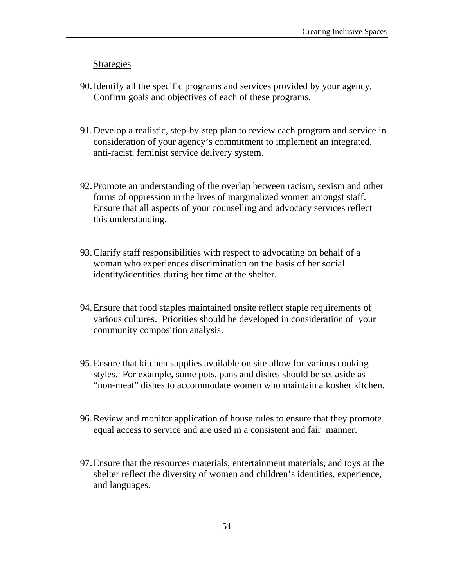#### Strategies

- 90.Identify all the specific programs and services provided by your agency, Confirm goals and objectives of each of these programs.
- 91.Develop a realistic, step-by-step plan to review each program and service in consideration of your agency's commitment to implement an integrated, anti-racist, feminist service delivery system.
- 92.Promote an understanding of the overlap between racism, sexism and other forms of oppression in the lives of marginalized women amongst staff. Ensure that all aspects of your counselling and advocacy services reflect this understanding.
- 93.Clarify staff responsibilities with respect to advocating on behalf of a woman who experiences discrimination on the basis of her social identity/identities during her time at the shelter.
- 94.Ensure that food staples maintained onsite reflect staple requirements of various cultures. Priorities should be developed in consideration of your community composition analysis.
- 95.Ensure that kitchen supplies available on site allow for various cooking styles. For example, some pots, pans and dishes should be set aside as "non-meat" dishes to accommodate women who maintain a kosher kitchen.
- 96.Review and monitor application of house rules to ensure that they promote equal access to service and are used in a consistent and fair manner.
- 97.Ensure that the resources materials, entertainment materials, and toys at the shelter reflect the diversity of women and children's identities, experience, and languages.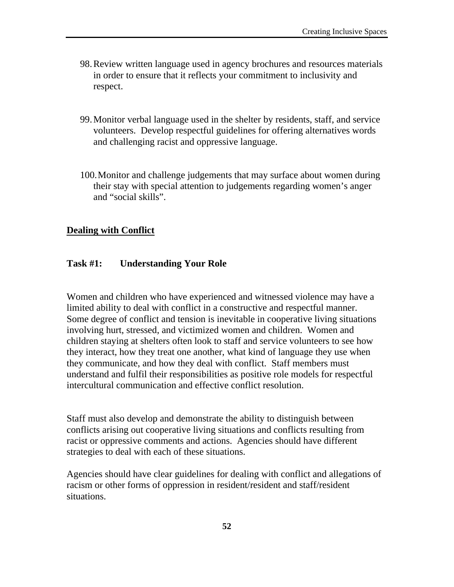- 98.Review written language used in agency brochures and resources materials in order to ensure that it reflects your commitment to inclusivity and respect.
- 99.Monitor verbal language used in the shelter by residents, staff, and service volunteers. Develop respectful guidelines for offering alternatives words and challenging racist and oppressive language.
- 100.Monitor and challenge judgements that may surface about women during their stay with special attention to judgements regarding women's anger and "social skills".

# **Dealing with Conflict**

# **Task #1: Understanding Your Role**

Women and children who have experienced and witnessed violence may have a limited ability to deal with conflict in a constructive and respectful manner. Some degree of conflict and tension is inevitable in cooperative living situations involving hurt, stressed, and victimized women and children. Women and children staying at shelters often look to staff and service volunteers to see how they interact, how they treat one another, what kind of language they use when they communicate, and how they deal with conflict. Staff members must understand and fulfil their responsibilities as positive role models for respectful intercultural communication and effective conflict resolution.

Staff must also develop and demonstrate the ability to distinguish between conflicts arising out cooperative living situations and conflicts resulting from racist or oppressive comments and actions. Agencies should have different strategies to deal with each of these situations.

Agencies should have clear guidelines for dealing with conflict and allegations of racism or other forms of oppression in resident/resident and staff/resident situations.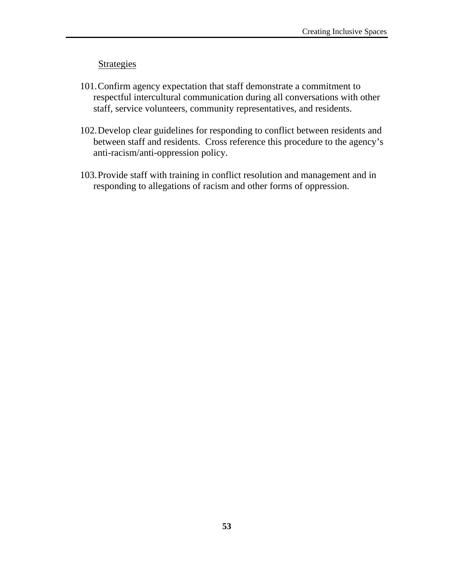### **Strategies**

- 101.Confirm agency expectation that staff demonstrate a commitment to respectful intercultural communication during all conversations with other staff, service volunteers, community representatives, and residents.
- 102.Develop clear guidelines for responding to conflict between residents and between staff and residents. Cross reference this procedure to the agency's anti-racism/anti-oppression policy.
- 103.Provide staff with training in conflict resolution and management and in responding to allegations of racism and other forms of oppression.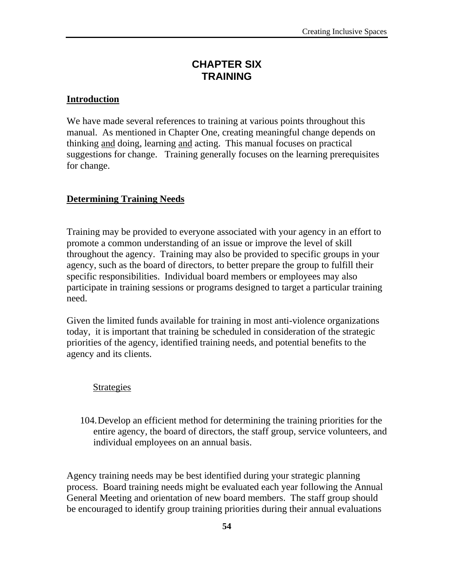# **CHAPTER SIX TRAINING**

### **Introduction**

We have made several references to training at various points throughout this manual. As mentioned in Chapter One, creating meaningful change depends on thinking and doing, learning and acting. This manual focuses on practical suggestions for change. Training generally focuses on the learning prerequisites for change.

# **Determining Training Needs**

Training may be provided to everyone associated with your agency in an effort to promote a common understanding of an issue or improve the level of skill throughout the agency. Training may also be provided to specific groups in your agency, such as the board of directors, to better prepare the group to fulfill their specific responsibilities. Individual board members or employees may also participate in training sessions or programs designed to target a particular training need.

Given the limited funds available for training in most anti-violence organizations today, it is important that training be scheduled in consideration of the strategic priorities of the agency, identified training needs, and potential benefits to the agency and its clients.

#### Strategies

104.Develop an efficient method for determining the training priorities for the entire agency, the board of directors, the staff group, service volunteers, and individual employees on an annual basis.

Agency training needs may be best identified during your strategic planning process. Board training needs might be evaluated each year following the Annual General Meeting and orientation of new board members. The staff group should be encouraged to identify group training priorities during their annual evaluations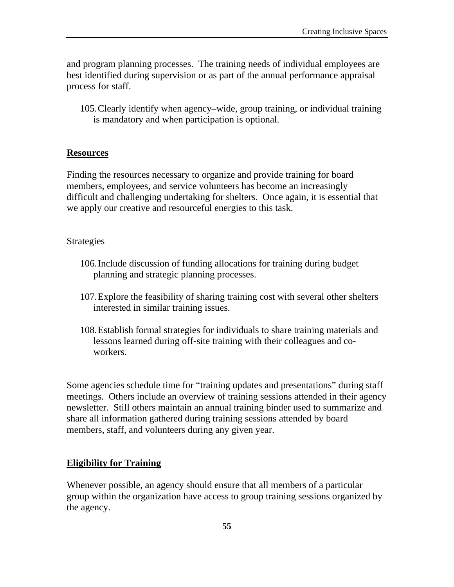and program planning processes. The training needs of individual employees are best identified during supervision or as part of the annual performance appraisal process for staff.

105.Clearly identify when agency–wide, group training, or individual training is mandatory and when participation is optional.

# **Resources**

Finding the resources necessary to organize and provide training for board members, employees, and service volunteers has become an increasingly difficult and challenging undertaking for shelters. Once again, it is essential that we apply our creative and resourceful energies to this task.

# Strategies

- 106.Include discussion of funding allocations for training during budget planning and strategic planning processes.
- 107.Explore the feasibility of sharing training cost with several other shelters interested in similar training issues.
- 108.Establish formal strategies for individuals to share training materials and lessons learned during off-site training with their colleagues and coworkers.

Some agencies schedule time for "training updates and presentations" during staff meetings. Others include an overview of training sessions attended in their agency newsletter. Still others maintain an annual training binder used to summarize and share all information gathered during training sessions attended by board members, staff, and volunteers during any given year.

# **Eligibility for Training**

Whenever possible, an agency should ensure that all members of a particular group within the organization have access to group training sessions organized by the agency.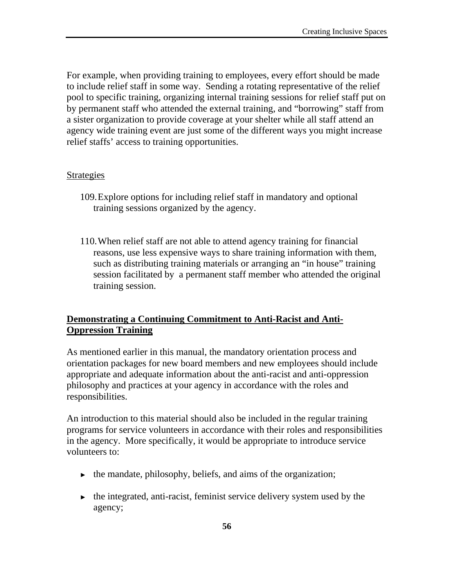For example, when providing training to employees, every effort should be made to include relief staff in some way. Sending a rotating representative of the relief pool to specific training, organizing internal training sessions for relief staff put on by permanent staff who attended the external training, and "borrowing" staff from a sister organization to provide coverage at your shelter while all staff attend an agency wide training event are just some of the different ways you might increase relief staffs' access to training opportunities.

### Strategies

- 109.Explore options for including relief staff in mandatory and optional training sessions organized by the agency.
- 110.When relief staff are not able to attend agency training for financial reasons, use less expensive ways to share training information with them, such as distributing training materials or arranging an "in house" training session facilitated by a permanent staff member who attended the original training session.

# **Demonstrating a Continuing Commitment to Anti-Racist and Anti-Oppression Training**

As mentioned earlier in this manual, the mandatory orientation process and orientation packages for new board members and new employees should include appropriate and adequate information about the anti-racist and anti-oppression philosophy and practices at your agency in accordance with the roles and responsibilities.

An introduction to this material should also be included in the regular training programs for service volunteers in accordance with their roles and responsibilities in the agency. More specifically, it would be appropriate to introduce service volunteers to:

- $\triangleright$  the mandate, philosophy, beliefs, and aims of the organization;
- $\triangleright$  the integrated, anti-racist, feminist service delivery system used by the agency;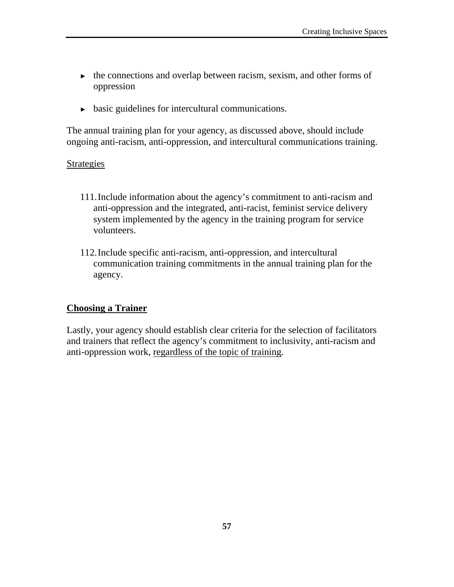- ► the connections and overlap between racism, sexism, and other forms of oppression
- ► basic guidelines for intercultural communications.

The annual training plan for your agency, as discussed above, should include ongoing anti-racism, anti-oppression, and intercultural communications training.

### Strategies

- 111.Include information about the agency's commitment to anti-racism and anti-oppression and the integrated, anti-racist, feminist service delivery system implemented by the agency in the training program for service volunteers.
- 112.Include specific anti-racism, anti-oppression, and intercultural communication training commitments in the annual training plan for the agency.

# **Choosing a Trainer**

Lastly, your agency should establish clear criteria for the selection of facilitators and trainers that reflect the agency's commitment to inclusivity, anti-racism and anti-oppression work, regardless of the topic of training.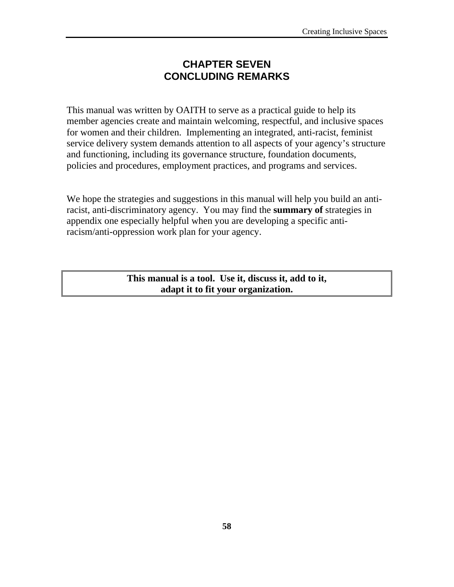# **CHAPTER SEVEN CONCLUDING REMARKS**

This manual was written by OAITH to serve as a practical guide to help its member agencies create and maintain welcoming, respectful, and inclusive spaces for women and their children. Implementing an integrated, anti-racist, feminist service delivery system demands attention to all aspects of your agency's structure and functioning, including its governance structure, foundation documents, policies and procedures, employment practices, and programs and services.

We hope the strategies and suggestions in this manual will help you build an antiracist, anti-discriminatory agency. You may find the **summary of** strategies in appendix one especially helpful when you are developing a specific antiracism/anti-oppression work plan for your agency.

> **This manual is a tool. Use it, discuss it, add to it, adapt it to fit your organization.**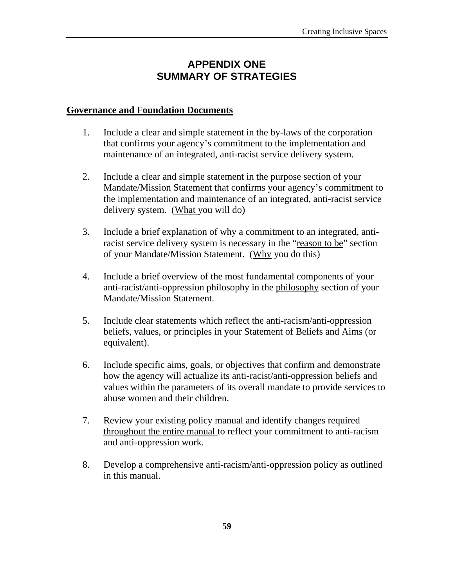# **APPENDIX ONE SUMMARY OF STRATEGIES**

### **Governance and Foundation Documents**

- 1. Include a clear and simple statement in the by-laws of the corporation that confirms your agency's commitment to the implementation and maintenance of an integrated, anti-racist service delivery system.
- 2. Include a clear and simple statement in the purpose section of your Mandate/Mission Statement that confirms your agency's commitment to the implementation and maintenance of an integrated, anti-racist service delivery system. (What you will do)
- 3. Include a brief explanation of why a commitment to an integrated, antiracist service delivery system is necessary in the "reason to be" section of your Mandate/Mission Statement. (Why you do this)
- 4. Include a brief overview of the most fundamental components of your anti-racist/anti-oppression philosophy in the philosophy section of your Mandate/Mission Statement.
- 5. Include clear statements which reflect the anti-racism/anti-oppression beliefs, values, or principles in your Statement of Beliefs and Aims (or equivalent).
- 6. Include specific aims, goals, or objectives that confirm and demonstrate how the agency will actualize its anti-racist/anti-oppression beliefs and values within the parameters of its overall mandate to provide services to abuse women and their children.
- 7. Review your existing policy manual and identify changes required throughout the entire manual to reflect your commitment to anti-racism and anti-oppression work.
- 8. Develop a comprehensive anti-racism/anti-oppression policy as outlined in this manual.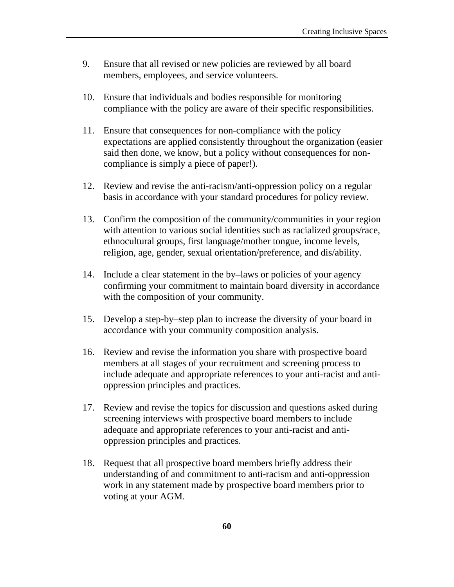- 9. Ensure that all revised or new policies are reviewed by all board members, employees, and service volunteers.
- 10. Ensure that individuals and bodies responsible for monitoring compliance with the policy are aware of their specific responsibilities.
- 11. Ensure that consequences for non-compliance with the policy expectations are applied consistently throughout the organization (easier said then done, we know, but a policy without consequences for noncompliance is simply a piece of paper!).
- 12. Review and revise the anti-racism/anti-oppression policy on a regular basis in accordance with your standard procedures for policy review.
- 13. Confirm the composition of the community/communities in your region with attention to various social identities such as racialized groups/race, ethnocultural groups, first language/mother tongue, income levels, religion, age, gender, sexual orientation/preference, and dis/ability.
- 14. Include a clear statement in the by–laws or policies of your agency confirming your commitment to maintain board diversity in accordance with the composition of your community.
- 15. Develop a step-by–step plan to increase the diversity of your board in accordance with your community composition analysis.
- 16. Review and revise the information you share with prospective board members at all stages of your recruitment and screening process to include adequate and appropriate references to your anti-racist and antioppression principles and practices.
- 17. Review and revise the topics for discussion and questions asked during screening interviews with prospective board members to include adequate and appropriate references to your anti-racist and antioppression principles and practices.
- 18. Request that all prospective board members briefly address their understanding of and commitment to anti-racism and anti-oppression work in any statement made by prospective board members prior to voting at your AGM.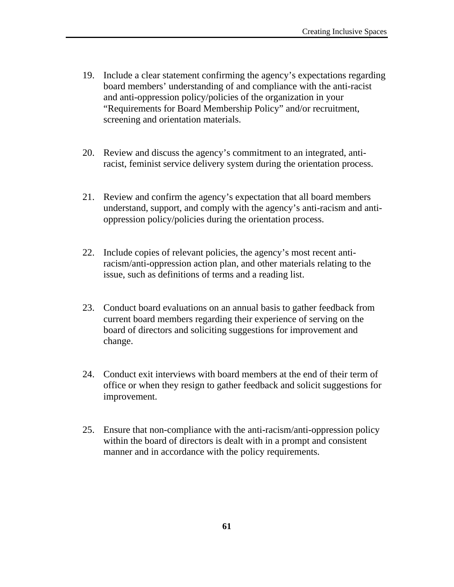- 19. Include a clear statement confirming the agency's expectations regarding board members' understanding of and compliance with the anti-racist and anti-oppression policy/policies of the organization in your "Requirements for Board Membership Policy" and/or recruitment, screening and orientation materials.
- 20. Review and discuss the agency's commitment to an integrated, antiracist, feminist service delivery system during the orientation process.
- 21. Review and confirm the agency's expectation that all board members understand, support, and comply with the agency's anti-racism and antioppression policy/policies during the orientation process.
- 22. Include copies of relevant policies, the agency's most recent antiracism/anti-oppression action plan, and other materials relating to the issue, such as definitions of terms and a reading list.
- 23. Conduct board evaluations on an annual basis to gather feedback from current board members regarding their experience of serving on the board of directors and soliciting suggestions for improvement and change.
- 24. Conduct exit interviews with board members at the end of their term of office or when they resign to gather feedback and solicit suggestions for improvement.
- 25. Ensure that non-compliance with the anti-racism/anti-oppression policy within the board of directors is dealt with in a prompt and consistent manner and in accordance with the policy requirements.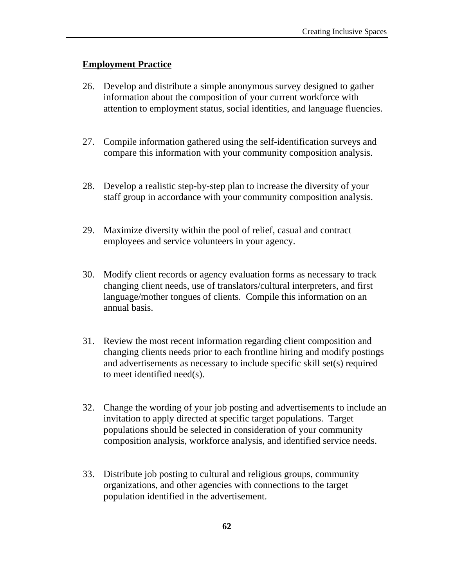# **Employment Practice**

- 26. Develop and distribute a simple anonymous survey designed to gather information about the composition of your current workforce with attention to employment status, social identities, and language fluencies.
- 27. Compile information gathered using the self-identification surveys and compare this information with your community composition analysis.
- 28. Develop a realistic step-by-step plan to increase the diversity of your staff group in accordance with your community composition analysis.
- 29. Maximize diversity within the pool of relief, casual and contract employees and service volunteers in your agency.
- 30. Modify client records or agency evaluation forms as necessary to track changing client needs, use of translators/cultural interpreters, and first language/mother tongues of clients. Compile this information on an annual basis.
- 31. Review the most recent information regarding client composition and changing clients needs prior to each frontline hiring and modify postings and advertisements as necessary to include specific skill set(s) required to meet identified need(s).
- 32. Change the wording of your job posting and advertisements to include an invitation to apply directed at specific target populations. Target populations should be selected in consideration of your community composition analysis, workforce analysis, and identified service needs.
- 33. Distribute job posting to cultural and religious groups, community organizations, and other agencies with connections to the target population identified in the advertisement.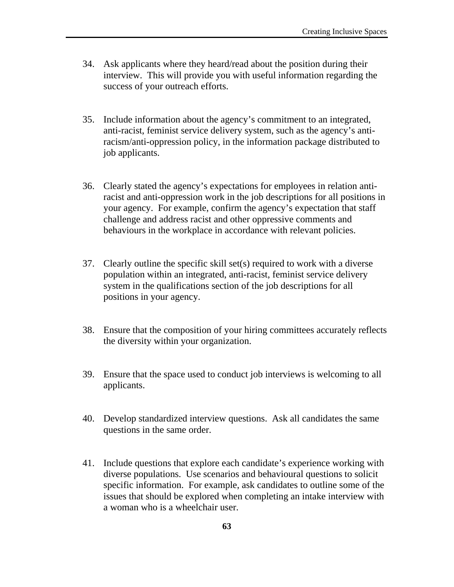- 34. Ask applicants where they heard/read about the position during their interview. This will provide you with useful information regarding the success of your outreach efforts.
- 35. Include information about the agency's commitment to an integrated, anti-racist, feminist service delivery system, such as the agency's antiracism/anti-oppression policy, in the information package distributed to job applicants.
- 36. Clearly stated the agency's expectations for employees in relation antiracist and anti-oppression work in the job descriptions for all positions in your agency. For example, confirm the agency's expectation that staff challenge and address racist and other oppressive comments and behaviours in the workplace in accordance with relevant policies.
- 37. Clearly outline the specific skill set(s) required to work with a diverse population within an integrated, anti-racist, feminist service delivery system in the qualifications section of the job descriptions for all positions in your agency.
- 38. Ensure that the composition of your hiring committees accurately reflects the diversity within your organization.
- 39. Ensure that the space used to conduct job interviews is welcoming to all applicants.
- 40. Develop standardized interview questions. Ask all candidates the same questions in the same order.
- 41. Include questions that explore each candidate's experience working with diverse populations. Use scenarios and behavioural questions to solicit specific information. For example, ask candidates to outline some of the issues that should be explored when completing an intake interview with a woman who is a wheelchair user.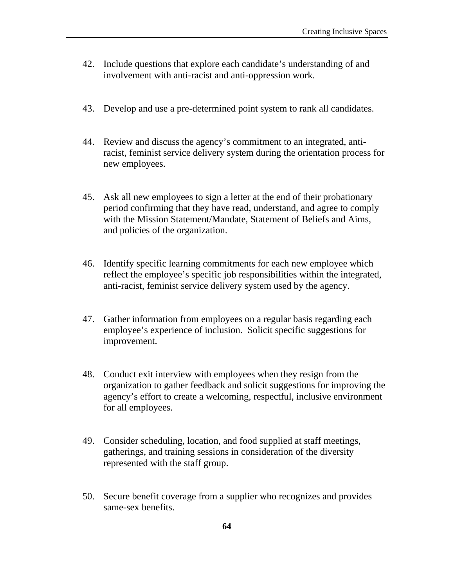- 42. Include questions that explore each candidate's understanding of and involvement with anti-racist and anti-oppression work.
- 43. Develop and use a pre-determined point system to rank all candidates.
- 44. Review and discuss the agency's commitment to an integrated, antiracist, feminist service delivery system during the orientation process for new employees.
- 45. Ask all new employees to sign a letter at the end of their probationary period confirming that they have read, understand, and agree to comply with the Mission Statement/Mandate, Statement of Beliefs and Aims, and policies of the organization.
- 46. Identify specific learning commitments for each new employee which reflect the employee's specific job responsibilities within the integrated, anti-racist, feminist service delivery system used by the agency.
- 47. Gather information from employees on a regular basis regarding each employee's experience of inclusion. Solicit specific suggestions for improvement.
- 48. Conduct exit interview with employees when they resign from the organization to gather feedback and solicit suggestions for improving the agency's effort to create a welcoming, respectful, inclusive environment for all employees.
- 49. Consider scheduling, location, and food supplied at staff meetings, gatherings, and training sessions in consideration of the diversity represented with the staff group.
- 50. Secure benefit coverage from a supplier who recognizes and provides same-sex benefits.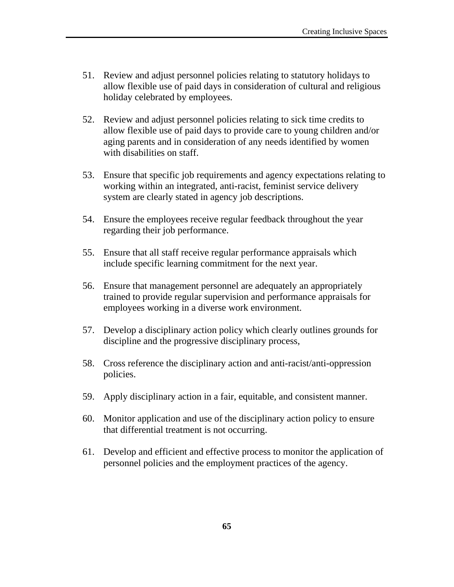- 51. Review and adjust personnel policies relating to statutory holidays to allow flexible use of paid days in consideration of cultural and religious holiday celebrated by employees.
- 52. Review and adjust personnel policies relating to sick time credits to allow flexible use of paid days to provide care to young children and/or aging parents and in consideration of any needs identified by women with disabilities on staff.
- 53. Ensure that specific job requirements and agency expectations relating to working within an integrated, anti-racist, feminist service delivery system are clearly stated in agency job descriptions.
- 54. Ensure the employees receive regular feedback throughout the year regarding their job performance.
- 55. Ensure that all staff receive regular performance appraisals which include specific learning commitment for the next year.
- 56. Ensure that management personnel are adequately an appropriately trained to provide regular supervision and performance appraisals for employees working in a diverse work environment.
- 57. Develop a disciplinary action policy which clearly outlines grounds for discipline and the progressive disciplinary process,
- 58. Cross reference the disciplinary action and anti-racist/anti-oppression policies.
- 59. Apply disciplinary action in a fair, equitable, and consistent manner.
- 60. Monitor application and use of the disciplinary action policy to ensure that differential treatment is not occurring.
- 61. Develop and efficient and effective process to monitor the application of personnel policies and the employment practices of the agency.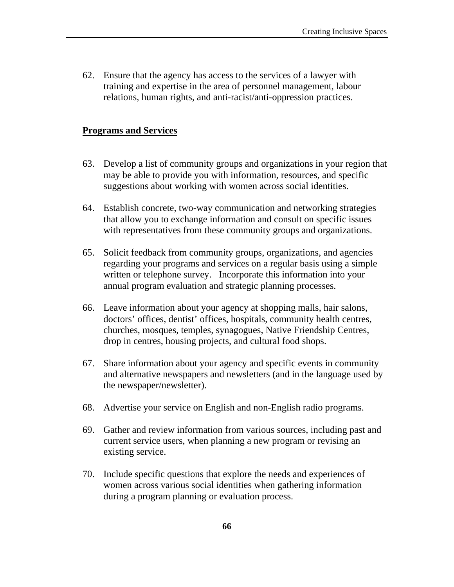62. Ensure that the agency has access to the services of a lawyer with training and expertise in the area of personnel management, labour relations, human rights, and anti-racist/anti-oppression practices.

### **Programs and Services**

- 63. Develop a list of community groups and organizations in your region that may be able to provide you with information, resources, and specific suggestions about working with women across social identities.
- 64. Establish concrete, two-way communication and networking strategies that allow you to exchange information and consult on specific issues with representatives from these community groups and organizations.
- 65. Solicit feedback from community groups, organizations, and agencies regarding your programs and services on a regular basis using a simple written or telephone survey. Incorporate this information into your annual program evaluation and strategic planning processes.
- 66. Leave information about your agency at shopping malls, hair salons, doctors' offices, dentist' offices, hospitals, community health centres, churches, mosques, temples, synagogues, Native Friendship Centres, drop in centres, housing projects, and cultural food shops.
- 67. Share information about your agency and specific events in community and alternative newspapers and newsletters (and in the language used by the newspaper/newsletter).
- 68. Advertise your service on English and non-English radio programs.
- 69. Gather and review information from various sources, including past and current service users, when planning a new program or revising an existing service.
- 70. Include specific questions that explore the needs and experiences of women across various social identities when gathering information during a program planning or evaluation process.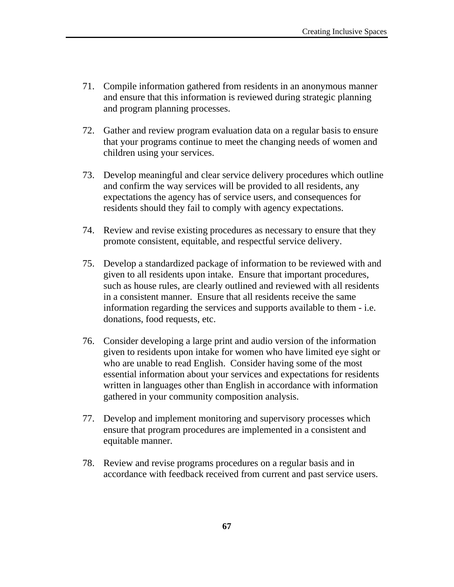- 71. Compile information gathered from residents in an anonymous manner and ensure that this information is reviewed during strategic planning and program planning processes.
- 72. Gather and review program evaluation data on a regular basis to ensure that your programs continue to meet the changing needs of women and children using your services.
- 73. Develop meaningful and clear service delivery procedures which outline and confirm the way services will be provided to all residents, any expectations the agency has of service users, and consequences for residents should they fail to comply with agency expectations.
- 74. Review and revise existing procedures as necessary to ensure that they promote consistent, equitable, and respectful service delivery.
- 75. Develop a standardized package of information to be reviewed with and given to all residents upon intake. Ensure that important procedures, such as house rules, are clearly outlined and reviewed with all residents in a consistent manner. Ensure that all residents receive the same information regarding the services and supports available to them - i.e. donations, food requests, etc.
- 76. Consider developing a large print and audio version of the information given to residents upon intake for women who have limited eye sight or who are unable to read English. Consider having some of the most essential information about your services and expectations for residents written in languages other than English in accordance with information gathered in your community composition analysis.
- 77. Develop and implement monitoring and supervisory processes which ensure that program procedures are implemented in a consistent and equitable manner.
- 78. Review and revise programs procedures on a regular basis and in accordance with feedback received from current and past service users.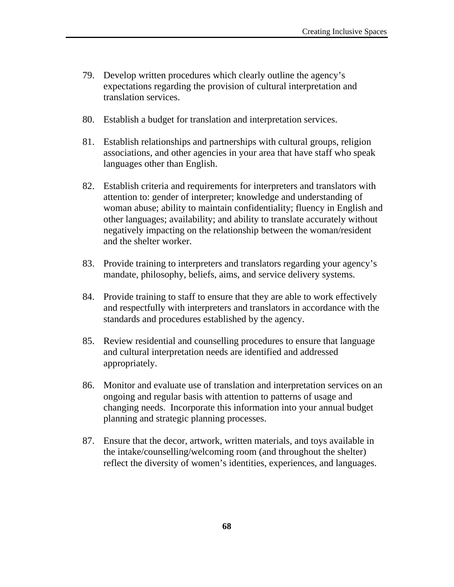- 79. Develop written procedures which clearly outline the agency's expectations regarding the provision of cultural interpretation and translation services.
- 80. Establish a budget for translation and interpretation services.
- 81. Establish relationships and partnerships with cultural groups, religion associations, and other agencies in your area that have staff who speak languages other than English.
- 82. Establish criteria and requirements for interpreters and translators with attention to: gender of interpreter; knowledge and understanding of woman abuse; ability to maintain confidentiality; fluency in English and other languages; availability; and ability to translate accurately without negatively impacting on the relationship between the woman/resident and the shelter worker.
- 83. Provide training to interpreters and translators regarding your agency's mandate, philosophy, beliefs, aims, and service delivery systems.
- 84. Provide training to staff to ensure that they are able to work effectively and respectfully with interpreters and translators in accordance with the standards and procedures established by the agency.
- 85. Review residential and counselling procedures to ensure that language and cultural interpretation needs are identified and addressed appropriately.
- 86. Monitor and evaluate use of translation and interpretation services on an ongoing and regular basis with attention to patterns of usage and changing needs. Incorporate this information into your annual budget planning and strategic planning processes.
- 87. Ensure that the decor, artwork, written materials, and toys available in the intake/counselling/welcoming room (and throughout the shelter) reflect the diversity of women's identities, experiences, and languages.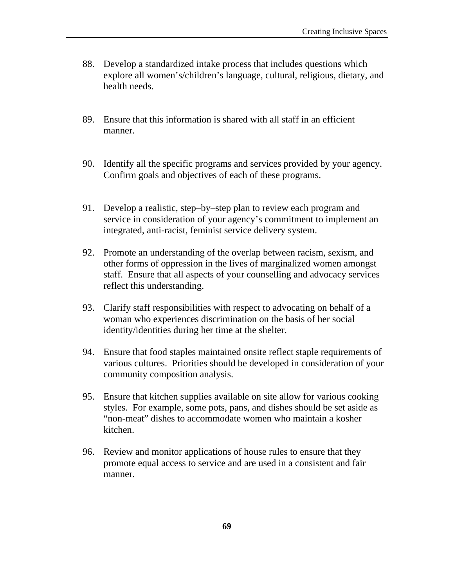- 88. Develop a standardized intake process that includes questions which explore all women's/children's language, cultural, religious, dietary, and health needs.
- 89. Ensure that this information is shared with all staff in an efficient manner.
- 90. Identify all the specific programs and services provided by your agency. Confirm goals and objectives of each of these programs.
- 91. Develop a realistic, step–by–step plan to review each program and service in consideration of your agency's commitment to implement an integrated, anti-racist, feminist service delivery system.
- 92. Promote an understanding of the overlap between racism, sexism, and other forms of oppression in the lives of marginalized women amongst staff. Ensure that all aspects of your counselling and advocacy services reflect this understanding.
- 93. Clarify staff responsibilities with respect to advocating on behalf of a woman who experiences discrimination on the basis of her social identity/identities during her time at the shelter.
- 94. Ensure that food staples maintained onsite reflect staple requirements of various cultures. Priorities should be developed in consideration of your community composition analysis.
- 95. Ensure that kitchen supplies available on site allow for various cooking styles. For example, some pots, pans, and dishes should be set aside as "non-meat" dishes to accommodate women who maintain a kosher kitchen.
- 96. Review and monitor applications of house rules to ensure that they promote equal access to service and are used in a consistent and fair manner.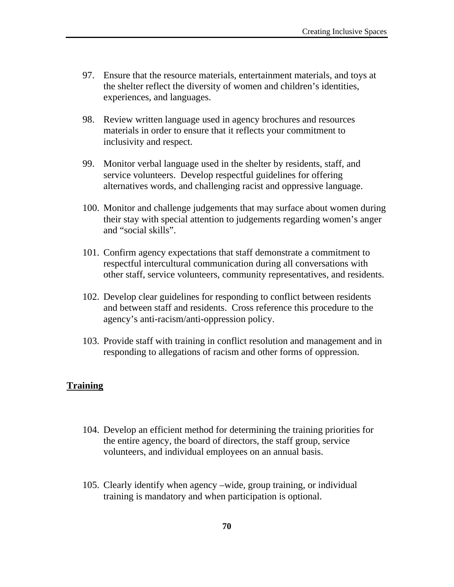- 97. Ensure that the resource materials, entertainment materials, and toys at the shelter reflect the diversity of women and children's identities, experiences, and languages.
- 98. Review written language used in agency brochures and resources materials in order to ensure that it reflects your commitment to inclusivity and respect.
- 99. Monitor verbal language used in the shelter by residents, staff, and service volunteers. Develop respectful guidelines for offering alternatives words, and challenging racist and oppressive language.
- 100. Monitor and challenge judgements that may surface about women during their stay with special attention to judgements regarding women's anger and "social skills".
- 101. Confirm agency expectations that staff demonstrate a commitment to respectful intercultural communication during all conversations with other staff, service volunteers, community representatives, and residents.
- 102. Develop clear guidelines for responding to conflict between residents and between staff and residents. Cross reference this procedure to the agency's anti-racism/anti-oppression policy.
- 103. Provide staff with training in conflict resolution and management and in responding to allegations of racism and other forms of oppression.

# **Training**

- 104. Develop an efficient method for determining the training priorities for the entire agency, the board of directors, the staff group, service volunteers, and individual employees on an annual basis.
- 105. Clearly identify when agency –wide, group training, or individual training is mandatory and when participation is optional.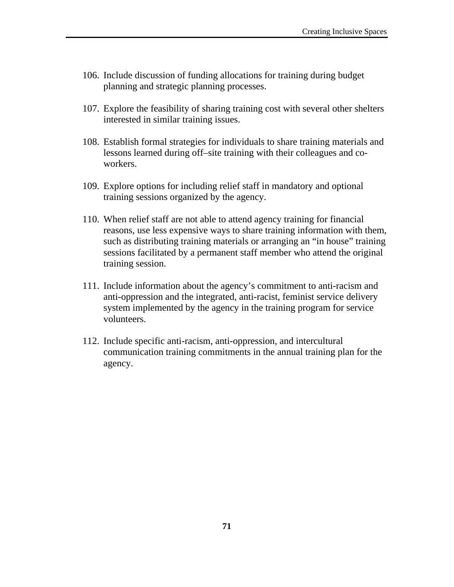- 106. Include discussion of funding allocations for training during budget planning and strategic planning processes.
- 107. Explore the feasibility of sharing training cost with several other shelters interested in similar training issues.
- 108. Establish formal strategies for individuals to share training materials and lessons learned during off–site training with their colleagues and coworkers.
- 109. Explore options for including relief staff in mandatory and optional training sessions organized by the agency.
- 110. When relief staff are not able to attend agency training for financial reasons, use less expensive ways to share training information with them, such as distributing training materials or arranging an "in house" training sessions facilitated by a permanent staff member who attend the original training session.
- 111. Include information about the agency's commitment to anti-racism and anti-oppression and the integrated, anti-racist, feminist service delivery system implemented by the agency in the training program for service volunteers.
- 112. Include specific anti-racism, anti-oppression, and intercultural communication training commitments in the annual training plan for the agency.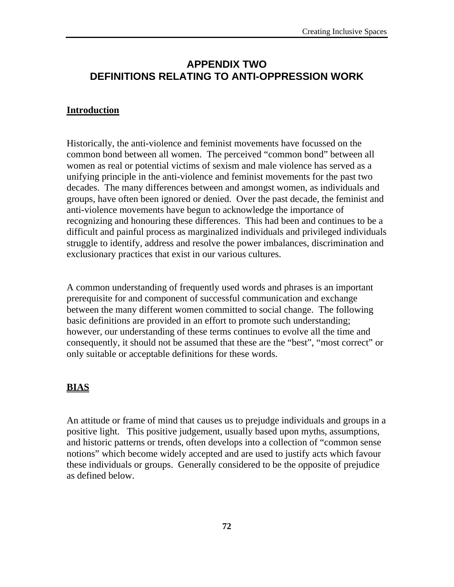# **APPENDIX TWO DEFINITIONS RELATING TO ANTI-OPPRESSION WORK**

#### **Introduction**

Historically, the anti-violence and feminist movements have focussed on the common bond between all women. The perceived "common bond" between all women as real or potential victims of sexism and male violence has served as a unifying principle in the anti-violence and feminist movements for the past two decades. The many differences between and amongst women, as individuals and groups, have often been ignored or denied. Over the past decade, the feminist and anti-violence movements have begun to acknowledge the importance of recognizing and honouring these differences. This had been and continues to be a difficult and painful process as marginalized individuals and privileged individuals struggle to identify, address and resolve the power imbalances, discrimination and exclusionary practices that exist in our various cultures.

A common understanding of frequently used words and phrases is an important prerequisite for and component of successful communication and exchange between the many different women committed to social change. The following basic definitions are provided in an effort to promote such understanding; however, our understanding of these terms continues to evolve all the time and consequently, it should not be assumed that these are the "best", "most correct" or only suitable or acceptable definitions for these words.

### **BIAS**

An attitude or frame of mind that causes us to prejudge individuals and groups in a positive light. This positive judgement, usually based upon myths, assumptions, and historic patterns or trends, often develops into a collection of "common sense notions" which become widely accepted and are used to justify acts which favour these individuals or groups. Generally considered to be the opposite of prejudice as defined below.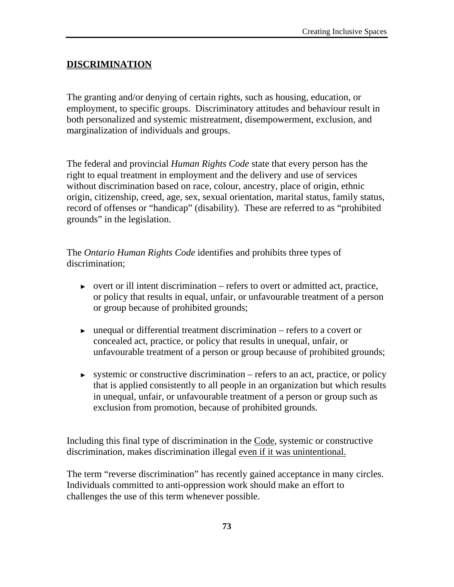#### **DISCRIMINATION**

The granting and/or denying of certain rights, such as housing, education, or employment, to specific groups. Discriminatory attitudes and behaviour result in both personalized and systemic mistreatment, disempowerment, exclusion, and marginalization of individuals and groups.

The federal and provincial *Human Rights Code* state that every person has the right to equal treatment in employment and the delivery and use of services without discrimination based on race, colour, ancestry, place of origin, ethnic origin, citizenship, creed, age, sex, sexual orientation, marital status, family status, record of offenses or "handicap" (disability). These are referred to as "prohibited grounds" in the legislation.

The *Ontario Human Rights Code* identifies and prohibits three types of discrimination;

- ► overt or ill intent discrimination refers to overt or admitted act, practice, or policy that results in equal, unfair, or unfavourable treatment of a person or group because of prohibited grounds;
- $\triangleright$  unequal or differential treatment discrimination refers to a covert or concealed act, practice, or policy that results in unequal, unfair, or unfavourable treatment of a person or group because of prohibited grounds;
- ► systemic or constructive discrimination refers to an act, practice, or policy that is applied consistently to all people in an organization but which results in unequal, unfair, or unfavourable treatment of a person or group such as exclusion from promotion, because of prohibited grounds.

Including this final type of discrimination in the Code, systemic or constructive discrimination, makes discrimination illegal even if it was unintentional.

The term "reverse discrimination" has recently gained acceptance in many circles. Individuals committed to anti-oppression work should make an effort to challenges the use of this term whenever possible.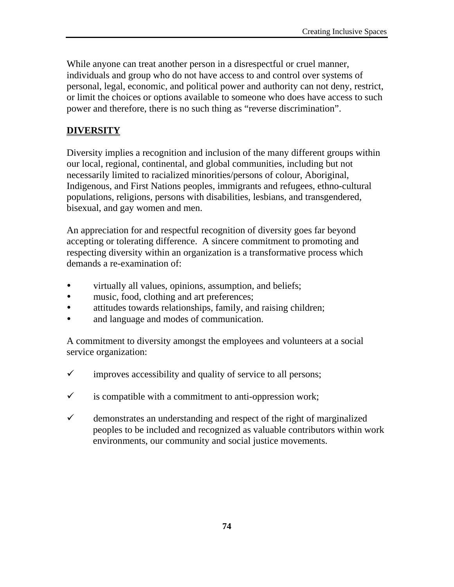While anyone can treat another person in a disrespectful or cruel manner, individuals and group who do not have access to and control over systems of personal, legal, economic, and political power and authority can not deny, restrict, or limit the choices or options available to someone who does have access to such power and therefore, there is no such thing as "reverse discrimination".

### **DIVERSITY**

Diversity implies a recognition and inclusion of the many different groups within our local, regional, continental, and global communities, including but not necessarily limited to racialized minorities/persons of colour, Aboriginal, Indigenous, and First Nations peoples, immigrants and refugees, ethno-cultural populations, religions, persons with disabilities, lesbians, and transgendered, bisexual, and gay women and men.

An appreciation for and respectful recognition of diversity goes far beyond accepting or tolerating difference. A sincere commitment to promoting and respecting diversity within an organization is a transformative process which demands a re-examination of:

- virtually all values, opinions, assumption, and beliefs;
- music, food, clothing and art preferences;
- attitudes towards relationships, family, and raising children;
- and language and modes of communication.

A commitment to diversity amongst the employees and volunteers at a social service organization:

- $\checkmark$  improves accessibility and quality of service to all persons;
- $\checkmark$  is compatible with a commitment to anti-oppression work;
- $\checkmark$  demonstrates an understanding and respect of the right of marginalized peoples to be included and recognized as valuable contributors within work environments, our community and social justice movements.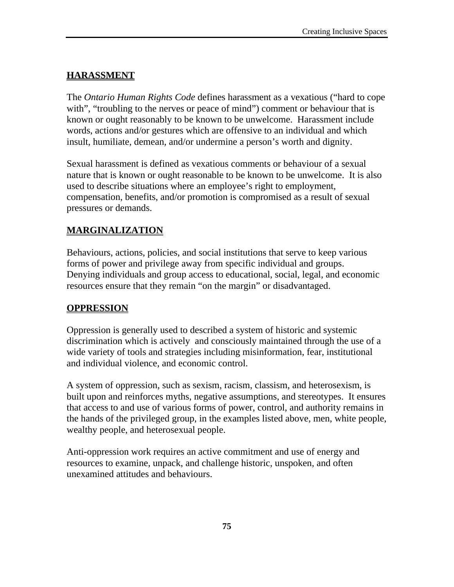#### **HARASSMENT**

The *Ontario Human Rights Code* defines harassment as a vexatious ("hard to cope with", "troubling to the nerves or peace of mind") comment or behaviour that is known or ought reasonably to be known to be unwelcome. Harassment include words, actions and/or gestures which are offensive to an individual and which insult, humiliate, demean, and/or undermine a person's worth and dignity.

Sexual harassment is defined as vexatious comments or behaviour of a sexual nature that is known or ought reasonable to be known to be unwelcome. It is also used to describe situations where an employee's right to employment, compensation, benefits, and/or promotion is compromised as a result of sexual pressures or demands.

### **MARGINALIZATION**

Behaviours, actions, policies, and social institutions that serve to keep various forms of power and privilege away from specific individual and groups. Denying individuals and group access to educational, social, legal, and economic resources ensure that they remain "on the margin" or disadvantaged.

#### **OPPRESSION**

Oppression is generally used to described a system of historic and systemic discrimination which is actively and consciously maintained through the use of a wide variety of tools and strategies including misinformation, fear, institutional and individual violence, and economic control.

A system of oppression, such as sexism, racism, classism, and heterosexism, is built upon and reinforces myths, negative assumptions, and stereotypes. It ensures that access to and use of various forms of power, control, and authority remains in the hands of the privileged group, in the examples listed above, men, white people, wealthy people, and heterosexual people.

Anti-oppression work requires an active commitment and use of energy and resources to examine, unpack, and challenge historic, unspoken, and often unexamined attitudes and behaviours.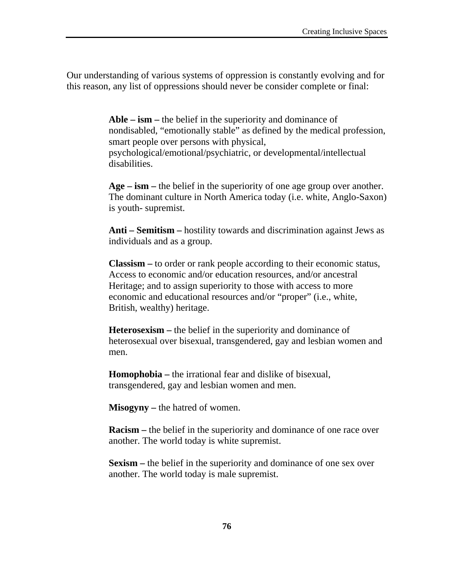Our understanding of various systems of oppression is constantly evolving and for this reason, any list of oppressions should never be consider complete or final:

> **Able – ism –** the belief in the superiority and dominance of nondisabled, "emotionally stable" as defined by the medical profession, smart people over persons with physical, psychological/emotional/psychiatric, or developmental/intellectual disabilities.

> **Age – ism –** the belief in the superiority of one age group over another. The dominant culture in North America today (i.e. white, Anglo-Saxon) is youth- supremist.

> **Anti – Semitism –** hostility towards and discrimination against Jews as individuals and as a group.

**Classism –** to order or rank people according to their economic status, Access to economic and/or education resources, and/or ancestral Heritage; and to assign superiority to those with access to more economic and educational resources and/or "proper" (i.e., white, British, wealthy) heritage.

**Heterosexism –** the belief in the superiority and dominance of heterosexual over bisexual, transgendered, gay and lesbian women and men.

**Homophobia –** the irrational fear and dislike of bisexual, transgendered, gay and lesbian women and men.

**Misogyny –** the hatred of women.

**Racism –** the belief in the superiority and dominance of one race over another. The world today is white supremist.

**Sexism –** the belief in the superiority and dominance of one sex over another. The world today is male supremist.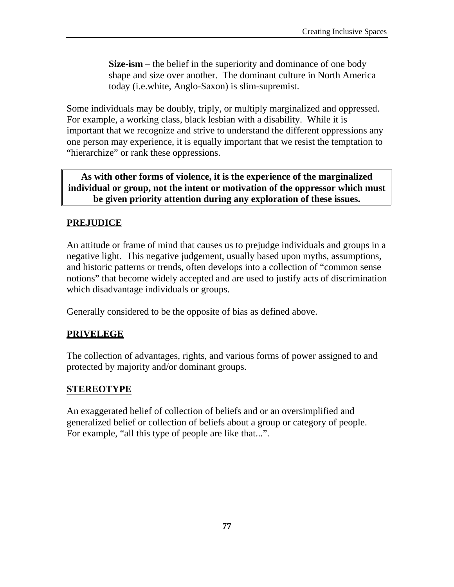**Size-ism** – the belief in the superiority and dominance of one body shape and size over another. The dominant culture in North America today (i.e.white, Anglo-Saxon) is slim-supremist.

Some individuals may be doubly, triply, or multiply marginalized and oppressed. For example, a working class, black lesbian with a disability. While it is important that we recognize and strive to understand the different oppressions any one person may experience, it is equally important that we resist the temptation to "hierarchize" or rank these oppressions.

**As with other forms of violence, it is the experience of the marginalized individual or group, not the intent or motivation of the oppressor which must be given priority attention during any exploration of these issues.** 

## **PREJUDICE**

An attitude or frame of mind that causes us to prejudge individuals and groups in a negative light. This negative judgement, usually based upon myths, assumptions, and historic patterns or trends, often develops into a collection of "common sense notions" that become widely accepted and are used to justify acts of discrimination which disadvantage individuals or groups.

Generally considered to be the opposite of bias as defined above.

## **PRIVELEGE**

The collection of advantages, rights, and various forms of power assigned to and protected by majority and/or dominant groups.

### **STEREOTYPE**

An exaggerated belief of collection of beliefs and or an oversimplified and generalized belief or collection of beliefs about a group or category of people. For example, "all this type of people are like that...".